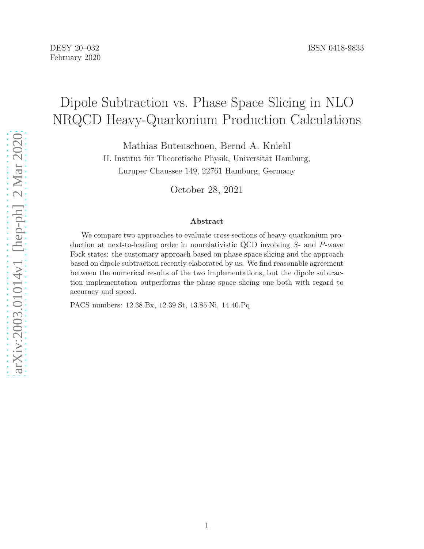# Dipole Subtraction vs. Phase Space Slicing in NLO NRQCD Heavy-Quarkonium Production Calculations

Mathias Butenschoen, Bernd A. Kniehl

II. Institut für Theoretische Physik, Universität Hamburg, Luruper Chaussee 149, 22761 Hamburg, Germany

October 28, 2021

#### Abstract

We compare two approaches to evaluate cross sections of heavy-quarkonium production at next-to-leading order in nonrelativistic QCD involving S- and P-wave Fock states: the customary approach based on phase space slicing and the approach based on dipole subtraction recently elaborated by us. We find reasonable agreement between the numerical results of the two implementations, but the dipole subtraction implementation outperforms the phase space slicing one both with regard to accuracy and speed.

PACS numbers: 12.38.Bx, 12.39.St, 13.85.Ni, 14.40.Pq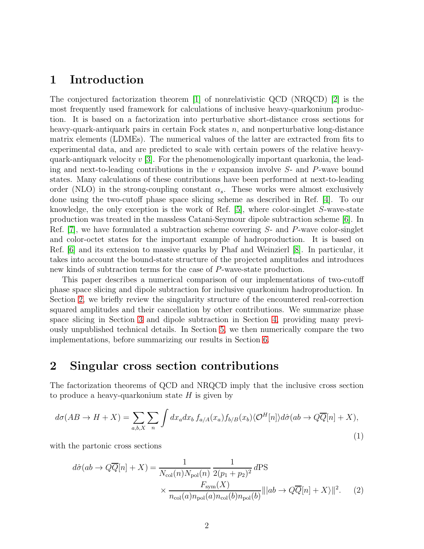### 1 Introduction

The conjectured factorization theorem [\[1\]](#page-21-0) of nonrelativistic QCD (NRQCD) [\[2\]](#page-21-1) is the most frequently used framework for calculations of inclusive heavy-quarkonium production. It is based on a factorization into perturbative short-distance cross sections for heavy-quark-antiquark pairs in certain Fock states  $n$ , and nonperturbative long-distance matrix elements (LDMEs). The numerical values of the latter are extracted from fits to experimental data, and are predicted to scale with certain powers of the relative heavyquark-antiquark velocity  $v(3)$ . For the phenomenologically important quarkonia, the leading and next-to-leading contributions in the  $v$  expansion involve  $S$ - and  $P$ -wave bound states. Many calculations of these contributions have been performed at next-to-leading order (NLO) in the strong-coupling constant  $\alpha_s$ . These works were almost exclusively done using the two-cutoff phase space slicing scheme as described in Ref. [\[4\]](#page-21-3). To our knowledge, the only exception is the work of Ref. [\[5\]](#page-21-4), where color-singlet S-wave-state production was treated in the massless Catani-Seymour dipole subtraction scheme [\[6\]](#page-21-5). In Ref.  $[7]$ , we have formulated a subtraction scheme covering  $S$ - and P-wave color-singlet and color-octet states for the important example of hadroproduction. It is based on Ref. [\[6\]](#page-21-5) and its extension to massive quarks by Phaf and Weinzierl [\[8\]](#page-21-7). In particular, it takes into account the bound-state structure of the projected amplitudes and introduces new kinds of subtraction terms for the case of P-wave-state production.

This paper describes a numerical comparison of our implementations of two-cutoff phase space slicing and dipole subtraction for inclusive quarkonium hadroproduction. In Section [2,](#page-1-0) we briefly review the singularity structure of the encountered real-correction squared amplitudes and their cancellation by other contributions. We summarize phase space slicing in Section [3](#page-4-0) and dipole subtraction in Section [4,](#page-9-0) providing many previously unpublished technical details. In Section [5,](#page-14-0) we then numerically compare the two implementations, before summarizing our results in Section [6.](#page-16-0)

### <span id="page-1-0"></span>2 Singular cross section contributions

The factorization theorems of QCD and NRQCD imply that the inclusive cross section to produce a heavy-quarkonium state  $H$  is given by

$$
d\sigma(AB \to H + X) = \sum_{a,b,X} \sum_{n} \int dx_a dx_b f_{a/A}(x_a) f_{b/B}(x_b) \langle \mathcal{O}^H[n] \rangle d\hat{\sigma}(ab \to Q\overline{Q}[n] + X), \tag{1}
$$

with the partonic cross sections

$$
d\hat{\sigma}(ab \to Q\overline{Q}[n] + X) = \frac{1}{N_{\text{col}}(n)N_{\text{pol}}(n)} \frac{1}{2(p_1 + p_2)^2} d\text{PS}
$$

$$
\times \frac{F_{\text{sym}}(X)}{n_{\text{col}}(a)n_{\text{pol}}(a)n_{\text{col}}(b)n_{\text{pol}}(b)} |||ab \to Q\overline{Q}[n] + X||^2. \tag{2}
$$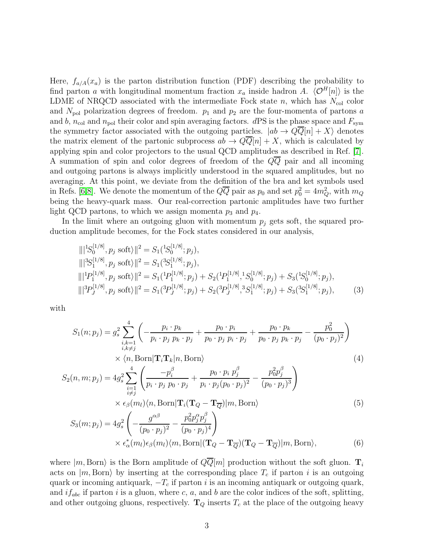Here,  $f_{a/A}(x_a)$  is the parton distribution function (PDF) describing the probability to find parton a with longitudinal momentum fraction  $x_a$  inside hadron A.  $\langle \mathcal{O}^H[n]\rangle$  is the LDME of NRQCD associated with the intermediate Fock state n, which has  $N_{\text{col}}$  color and  $N_{\text{pol}}$  polarization degrees of freedom.  $p_1$  and  $p_2$  are the four-momenta of partons a and b,  $n_{\text{col}}$  and  $n_{\text{pol}}$  their color and spin averaging factors. dPS is the phase space and  $F_{\text{sym}}$ the symmetry factor associated with the outgoing particles.  $|ab \to QQ[n]+X\rangle$  denotes the matrix element of the partonic subprocess  $ab \to QQ[n]+X$ , which is calculated by applying spin and color projectors to the usual QCD amplitudes as described in Ref. [\[7\]](#page-21-6). A summation of spin and color degrees of freedom of the  $Q\overline{Q}$  pair and all incoming and outgoing partons is always implicitly understood in the squared amplitudes, but no averaging. At this point, we deviate from the definition of the bra and ket symbols used in Refs. [\[6,](#page-21-5)[8\]](#page-21-7). We denote the momentum of the  $Q\overline{Q}$  pair as  $p_0$  and set  $p_0^2 = 4m_Q^2$ , with  $m_Q$ being the heavy-quark mass. Our real-correction partonic amplitudes have two further light QCD partons, to which we assign momenta  $p_3$  and  $p_4$ .

In the limit where an outgoing gluon with momentum  $p_i$  gets soft, the squared production amplitude becomes, for the Fock states considered in our analysis,

$$
\begin{aligned}\n\|\|S_0^{[1/8]}, p_j \text{ soft}\rangle\|^2 &= S_1(^1S_0^{[1/8]}; p_j), \\
\|\|S_1^{[1/8]}, p_j \text{ soft}\rangle\|^2 &= S_1(^3S_1^{[1/8]}; p_j), \\
\|\|P_1^{[1/8]}, p_j \text{ soft}\rangle\|^2 &= S_1(^1P_1^{[1/8]}; p_j) + S_2(^1P_1^{[1/8]}, 1S_0^{[1/8]}; p_j) + S_3(^1S_0^{[1/8]}; p_j), \\
\|\|{}^3P_J^{[1/8]}, p_j \text{ soft}\rangle\|^2 &= S_1(^3P_J^{[1/8]}; p_j) + S_2(^3P_J^{[1/8]}, 3S_1^{[1/8]}; p_j) + S_3(^3S_1^{[1/8]}; p_j),\n\end{aligned} \tag{3}
$$

with

<span id="page-2-0"></span>
$$
S_{1}(n; p_{j}) = g_{s}^{2} \sum_{\substack{i,k=1 \ i,k \neq j}}^{4} \left( -\frac{p_{i} \cdot p_{k}}{p_{i} \cdot p_{j} p_{k} \cdot p_{j}} + \frac{p_{0} \cdot p_{i}}{p_{0} \cdot p_{j} p_{i} \cdot p_{j}} + \frac{p_{0} \cdot p_{k}}{p_{0} \cdot p_{j} p_{k} \cdot p_{j}} - \frac{p_{0}^{2}}{(p_{0} \cdot p_{j})^{2}} \right)
$$
  
\n
$$
\times \langle n, \text{Born} | \mathbf{T}_{i} \mathbf{T}_{k} | n, \text{Born} \rangle
$$
  
\n
$$
S_{2}(n, m; p_{j}) = 4g_{s}^{2} \sum_{\substack{i=1 \ i \neq j}}^{4} \left( \frac{-p_{i}^{\beta}}{p_{i} \cdot p_{j} p_{0} \cdot p_{j}} + \frac{p_{0} \cdot p_{i} p_{j}^{\beta}}{p_{i} \cdot p_{j} (p_{0} \cdot p_{j})^{2}} - \frac{p_{0}^{2} p_{j}^{\beta}}{(p_{0} \cdot p_{j})^{3}} \right)
$$
  
\n
$$
\times \epsilon_{\beta}(m_{l}) \langle n, \text{Born} | \mathbf{T}_{i} (\mathbf{T}_{Q} - \mathbf{T}_{\overline{Q}}) | m, \text{Born} \rangle
$$
\n(5)

$$
S_3(m; p_j) = 4g_s^2 \left( -\frac{g^{\alpha\beta}}{(p_0 \cdot p_j)^2} - \frac{p_0^2 p_j^{\alpha} p_j^{\beta}}{(p_0 \cdot p_j)^4} \right) \times \epsilon_{\alpha}^*(m_l) \epsilon_{\beta}(m_l) \langle m, \text{Born} | (\mathbf{T}_Q - \mathbf{T}_{\overline{Q}}) (\mathbf{T}_Q - \mathbf{T}_{\overline{Q}}) | m, \text{Born} \rangle, \tag{6}
$$

where  $|m, Born\rangle$  is the Born amplitude of  $QQ[m]$  production without the soft gluon.  $\mathbf{T}_i$ acts on  $|m, Born\rangle$  by inserting at the corresponding place  $T_c$  if parton i is an outgoing quark or incoming antiquark,  $-T_c$  if parton i is an incoming antiquark or outgoing quark, and  $if_{abc}$  if parton i is a gluon, where c, a, and b are the color indices of the soft, splitting, and other outgoing gluons, respectively.  $\mathbf{T}_Q$  inserts  $T_c$  at the place of the outgoing heavy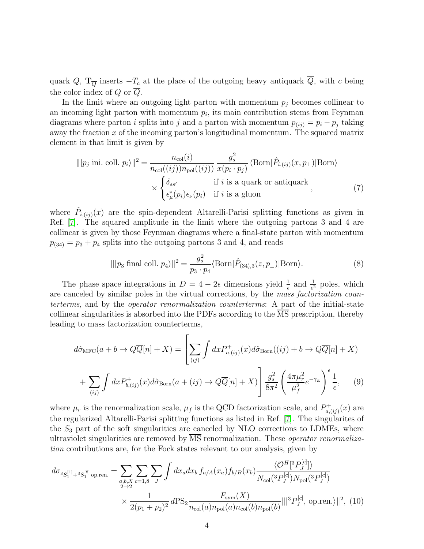quark Q,  $\mathbf{T}_{\overline{Q}}$  inserts  $-T_c$  at the place of the outgoing heavy antiquark  $\overline{Q}$ , with c being the color index of Q or Q.

In the limit where an outgoing light parton with momentum  $p_i$  becomes collinear to an incoming light parton with momentum  $p_i$ , its main contribution stems from Feynman diagrams where parton i splits into j and a parton with momentum  $p_{(ii)} = p_i - p_j$  taking away the fraction  $x$  of the incoming parton's longitudinal momentum. The squared matrix element in that limit is given by

<span id="page-3-0"></span>
$$
||p_j \text{ ini. coll. } p_i||^2 = \frac{n_{\text{col}}(i)}{n_{\text{col}}((ij))n_{\text{pol}}((ij))} \frac{g_s^2}{x(p_i \cdot p_j)} \langle \text{Born} | \hat{P}_{i,(ij)}(x, p_\perp) | \text{Born} \rangle
$$
  
 
$$
\times \begin{cases} \delta_{ss'} & \text{if } i \text{ is a quark or antiquark} \\ \epsilon^*_{\mu}(p_i) \epsilon_{\nu}(p_i) & \text{if } i \text{ is a gluon} \end{cases}
$$
 (7)

where  $\hat{P}_{i,(ij)}(x)$  are the spin-dependent Altarelli-Parisi splitting functions as given in Ref. [\[7\]](#page-21-6). The squared amplitude in the limit where the outgoing partons 3 and 4 are collinear is given by those Feynman diagrams where a final-state parton with momentum  $p_{(34)} = p_3 + p_4$  splits into the outgoing partons 3 and 4, and reads

<span id="page-3-2"></span>
$$
\| |p_3 \text{ final coll. } p_4 \rangle \|^2 = \frac{g_s^2}{p_3 \cdot p_4} \langle \text{Born} | \hat{P}_{(34),3}(z, p_\perp) | \text{Born} \rangle. \tag{8}
$$

The phase space integrations in  $D = 4 - 2\epsilon$  dimensions yield  $\frac{1}{\epsilon}$  and  $\frac{1}{\epsilon^2}$  poles, which are canceled by similar poles in the virtual corrections, by the mass factorization counterterms, and by the operator renormalization counterterms: A part of the initial-state collinear singularities is absorbed into the PDFs according to the MS prescription, thereby leading to mass factorization counterterms,

<span id="page-3-1"></span>
$$
d\hat{\sigma}_{\text{MFC}}(a+b\to Q\overline{Q}[n]+X) = \left[\sum_{(ij)} \int dx P_{a,(ij)}^{+}(x) d\hat{\sigma}_{\text{Born}}((ij)+b\to Q\overline{Q}[n]+X) + \sum_{(ij)} \int dx P_{b,(ij)}^{+}(x) d\hat{\sigma}_{\text{Born}}(a+(ij)\to Q\overline{Q}[n]+X)\right] \frac{g_s^2}{8\pi^2} \left(\frac{4\pi\mu_r^2}{\mu_f^2} e^{-\gamma_E}\right)^{\epsilon} \frac{1}{\epsilon},\tag{9}
$$

where  $\mu_r$  is the renormalization scale,  $\mu_f$  is the QCD factorization scale, and  $P_{a}^+$  $a_{n(ij)}^{+}(x)$  are the regularized Altarelli-Parisi splitting functions as listed in Ref. [\[7\]](#page-21-6). The singularites of the  $S_3$  part of the soft singularities are canceled by NLO corrections to LDMEs, where ultraviolet singularities are removed by  $\overline{\text{MS}}$  renormalization. These *operator renormaliza*tion contributions are, for the Fock states relevant to our analysis, given by

<span id="page-3-3"></span>
$$
d\sigma_{3S_{1}^{[1]}+3S_{1}^{[8]}\text{op.ren.}} = \sum_{a,b,X} \sum_{c=1,8} \sum_{J} \int dx_{a} dx_{b} f_{a/A}(x_{a}) f_{b/B}(x_{b}) \frac{\langle \mathcal{O}^{H}[{}^{3}P_{J}^{[c]}] \rangle}{N_{\text{col}}({}^{3}P_{J}^{[c]}) N_{\text{pol}}({}^{3}P_{J}^{[c]})}
$$

$$
\times \frac{1}{2(p_{1}+p_{2})^{2}} d\text{PS}_{2} \frac{F_{\text{sym}}(X)}{n_{\text{col}}(a) n_{\text{pol}}(a) n_{\text{col}}(b) n_{\text{pol}}(b)} |||{}^{3}P_{J}^{[c]}, \text{ op.ren.}\rangle||^{2}, (10)
$$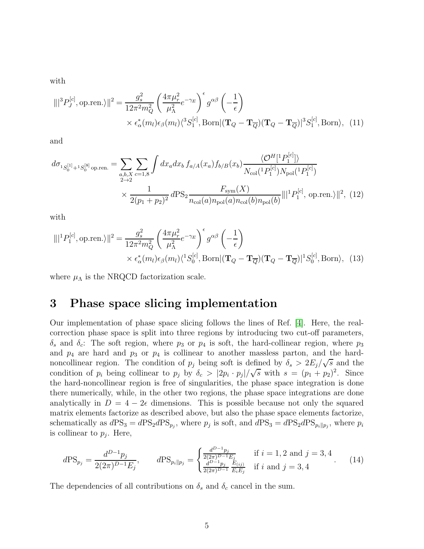with

$$
\|\|^3 P_J^{[c]}, \text{op.ren.}\rangle\|^2 = \frac{g_s^2}{12\pi^2 m_Q^2} \left(\frac{4\pi \mu_r^2}{\mu_\Lambda^2} e^{-\gamma_E} \right)^{\epsilon} g^{\alpha\beta} \left(-\frac{1}{\epsilon}\right)
$$

$$
\times \epsilon_\alpha^*(m_l) \epsilon_\beta(m_l) \langle^3 S_1^{[c]}, \text{Born}\rangle \left(\mathbf{T}_Q - \mathbf{T}_{\overline{Q}}\right) \left(\mathbf{T}_Q - \mathbf{T}_{\overline{Q}}\right)^3 S_1^{[c]}, \text{Born}\rangle, \tag{11}
$$

and

<span id="page-4-1"></span>
$$
d\sigma_{1S_{0}^{[1]}+1S_{0}^{[8]}\text{op.ren.}} = \sum_{a,b,X} \sum_{c=1,8} \int dx_{a} dx_{b} f_{a/A}(x_{a}) f_{b/B}(x_{b}) \frac{\langle \mathcal{O}^{H}[{}^{1}P_{1}^{[c]}] \rangle}{N_{\text{col}}({}^{1}P_{1}^{[c]}) N_{\text{pol}}({}^{1}P_{1}^{[c]})}
$$

$$
\times \frac{1}{2(p_{1}+p_{2})^{2}} d\text{PS}_{2} \frac{F_{\text{sym}}(X)}{n_{\text{col}}(a) n_{\text{pol}}(a) n_{\text{col}}(b) n_{\text{pol}}(b)} ||| {}^{1}P_{1}^{[c]}, \text{ op.ren.}\rangle ||^{2}, (12)
$$

with

$$
\|\|^1 P_1^{[c]}, \text{op.ren.}\rangle\|^2 = \frac{g_s^2}{12\pi^2 m_Q^2} \left(\frac{4\pi\mu_r^2}{\mu_\Lambda^2} e^{-\gamma_E}\right)^{\epsilon} g^{\alpha\beta} \left(-\frac{1}{\epsilon}\right)
$$

$$
\times \epsilon_\alpha^*(m_l) \epsilon_\beta(m_l) \langle^1 S_0^{[c]}, \text{Born}\rangle (\mathbf{T}_Q - \mathbf{T}_{\overline{Q}}) (\mathbf{T}_Q - \mathbf{T}_{\overline{Q}})^{\dagger} S_0^{[c]}, \text{Born}\rangle, \tag{13}
$$

<span id="page-4-0"></span>where  $\mu_{\Lambda}$  is the NRQCD factorization scale.

## 3 Phase space slicing implementation

Our implementation of phase space slicing follows the lines of Ref. [\[4\]](#page-21-3). Here, the realcorrection phase space is split into three regions by introducing two cut-off parameters,  $\delta_s$  and  $\delta_c$ : The soft region, where  $p_3$  or  $p_4$  is soft, the hard-collinear region, where  $p_3$ and  $p_4$  are hard and  $p_3$  or  $p_4$  is collinear to another massless parton, and the hardnoncollinear region. The condition of  $p_j$  being soft is defined by  $\delta_s > 2E_j/\sqrt{s}$  and the condition of  $p_i$  being collinear to  $p_j$  by  $\delta_c > |2p_i \cdot p_j|/\sqrt{s}$  with  $s = (p_1 + p_2)^2$ . Since the hard-noncollinear region is free of singularities, the phase space integration is done there numerically, while, in the other two regions, the phase space integrations are done analytically in  $D = 4 - 2\epsilon$  dimensions. This is possible because not only the squared matrix elements factorize as described above, but also the phase space elements factorize, schematically as  $dPS_3 = dPS_2 dPS_{p_j}$ , where  $p_j$  is soft, and  $dPS_3 = dPS_2 dPS_{p_i||p_j}$ , where  $p_i$ is collinear to  $p_j$ . Here,

$$
d\text{PS}_{p_j} = \frac{d^{D-1}p_j}{2(2\pi)^{D-1}E_j}, \qquad d\text{PS}_{p_i||p_j} = \begin{cases} \frac{d^{D-1}p_j}{2(2\pi)^{D-1}E_j} & \text{if } i = 1, 2 \text{ and } j = 3, 4\\ \frac{d^{D-1}p_j}{2(2\pi)^{D-1}} \frac{E_{(ij)}}{E_i E_j} & \text{if } i \text{ and } j = 3, 4 \end{cases} (14)
$$

The dependencies of all contributions on  $\delta_s$  and  $\delta_c$  cancel in the sum.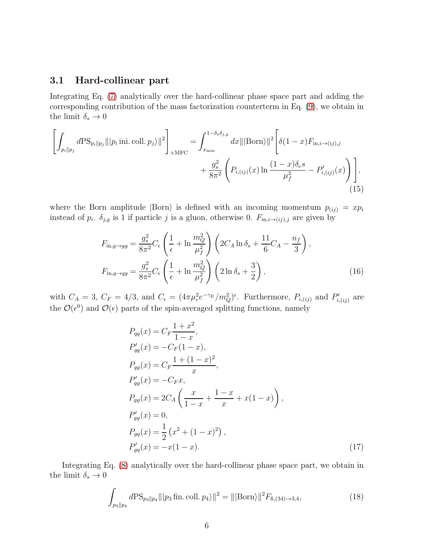#### 3.1 Hard-collinear part

Integrating Eq. [\(7\)](#page-3-0) analytically over the hard-collinear phase space part and adding the corresponding contribution of the mass factorization counterterm in Eq. [\(9\)](#page-3-1), we obtain in the limit  $\delta_s \rightarrow 0$ 

$$
\left[\int_{p_i||p_j} d\text{PS}_{p_i||p_j} \|\|p_i\,\text{ini. coll.}\,p_j\rangle\|^2\right]_{+\text{MFC}} = \int_{x_{\text{min}}}^{1-\delta_s\delta_{j,g}} dx \|\|\text{Born}\rangle\|^2 \left[\delta(1-x)F_{\text{in},i\to(ij),j}\right] + \frac{g_s^2}{8\pi^2} \left(P_{i,(ij)}(x)\ln\frac{(1-x)\delta_c s}{\mu_f^2} - P'_{i,(ij)}(x)\right)\right],\tag{15}
$$

where the Born amplitude  $|\text{Born}\rangle$  is defined with an incoming momentum  $p_{(ij)} = xp_i$ instead of  $p_i$ .  $\delta_{j,g}$  is 1 if particle j is a gluon, otherwise 0.  $F_{\text{in},i\rightarrow(ij),j}$  are given by

$$
F_{\text{in},g \to gg} = \frac{g_s^2}{8\pi^2} C_\epsilon \left( \frac{1}{\epsilon} + \ln \frac{m_Q^2}{\mu_f^2} \right) \left( 2C_A \ln \delta_s + \frac{11}{6} C_A - \frac{n_f}{3} \right),
$$
  

$$
F_{\text{in},q \to qg} = \frac{g_s^2}{8\pi^2} C_\epsilon \left( \frac{1}{\epsilon} + \ln \frac{m_Q^2}{\mu_f^2} \right) \left( 2 \ln \delta_s + \frac{3}{2} \right),
$$
 (16)

with  $C_A = 3$ ,  $C_F = 4/3$ , and  $C_{\epsilon} = (4\pi\mu_r^2 e^{-\gamma_E}/m_Q^2)^{\epsilon}$ . Furthermore,  $P_{i,(ij)}$  and  $P'_{i,(ij)}$  are the  $\mathcal{O}(\epsilon^0)$  and  $\mathcal{O}(\epsilon)$  parts of the spin-averaged splitting functions, namely

$$
P_{qq}(x) = C_F \frac{1+x^2}{1-x},
$$
  
\n
$$
P'_{qq}(x) = -C_F (1-x),
$$
  
\n
$$
P_{qg}(x) = C_F \frac{1+(1-x)^2}{x},
$$
  
\n
$$
P'_{qg}(x) = -C_F x,
$$
  
\n
$$
P_{gg}(x) = 2C_A \left(\frac{x}{1-x} + \frac{1-x}{x} + x(1-x)\right),
$$
  
\n
$$
P'_{gg}(x) = 0,
$$
  
\n
$$
P_{gq}(x) = \frac{1}{2} (x^2 + (1-x)^2),
$$
  
\n
$$
P'_{gq}(x) = -x(1-x).
$$
  
\n(17)

Integrating Eq. [\(8\)](#page-3-2) analytically over the hard-collinear phase space part, we obtain in the limit  $\delta_s \rightarrow 0$ 

$$
\int_{p_3||p_4} d\text{PS}_{p_3||p_4} ||p_3 \text{ fin. coll. } p_4 \rangle ||^2 = |||\text{Born}\rangle ||^2 F_{\text{fi}, (34) \to 3, 4},\tag{18}
$$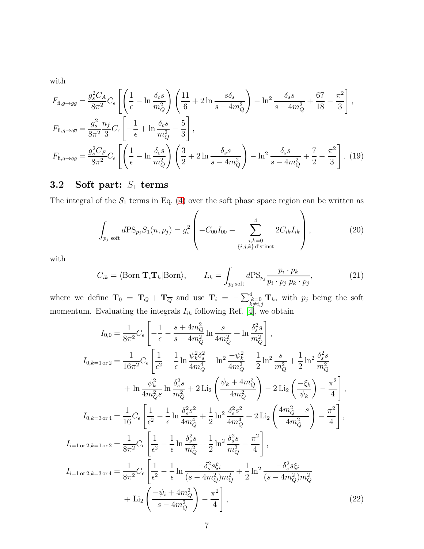with

$$
F_{\text{fi},g \to gg} = \frac{g_s^2 C_A}{8\pi^2} C_{\epsilon} \left[ \left( \frac{1}{\epsilon} - \ln \frac{\delta_c s}{m_Q^2} \right) \left( \frac{11}{6} + 2 \ln \frac{s \delta_s}{s - 4m_Q^2} \right) - \ln^2 \frac{\delta_s s}{s - 4m_Q^2} + \frac{67}{18} - \frac{\pi^2}{3} \right],
$$
  
\n
$$
F_{\text{fi},g \to q\overline{q}} = \frac{g_s^2}{8\pi^2} \frac{n_f}{3} C_{\epsilon} \left[ -\frac{1}{\epsilon} + \ln \frac{\delta_c s}{m_Q^2} - \frac{5}{3} \right],
$$
  
\n
$$
F_{\text{fi},q \to qg} = \frac{g_s^2 C_F}{8\pi^2} C_{\epsilon} \left[ \left( \frac{1}{\epsilon} - \ln \frac{\delta_c s}{m_Q^2} \right) \left( \frac{3}{2} + 2 \ln \frac{\delta_s s}{s - 4m_Q^2} \right) - \ln^2 \frac{\delta_s s}{s - 4m_Q^2} + \frac{7}{2} - \frac{\pi^2}{3} \right].
$$
 (19)

## 3.2 Soft part:  $S_1$  terms

The integral of the  $S_1$  terms in Eq. [\(4\)](#page-2-0) over the soft phase space region can be written as

$$
\int_{p_j \text{ soft}} d\text{PS}_{p_j} S_1(n, p_j) = g_s^2 \left( -C_{00} I_{00} - \sum_{\substack{i,k=0 \ i,j,k \text{ distinct}}}^4 2C_{ik} I_{ik} \right),\tag{20}
$$

with

$$
C_{ik} = \langle \text{Born} | \mathbf{T}_i \mathbf{T}_k | \text{Born} \rangle, \qquad I_{ik} = \int_{p_j \text{ soft}} d\text{PS}_{p_j} \frac{p_i \cdot p_k}{p_i \cdot p_j \cdot p_k \cdot p_j}, \tag{21}
$$

where we define  $\mathbf{T}_0 = \mathbf{T}_Q + \mathbf{T}_{\overline{Q}}$  and use  $\mathbf{T}_i = -\sum_{\substack{k=0 \ k \neq i,j}}^4 \mathbf{T}_k$ , with  $p_j$  being the soft momentum. Evaluating the integrals  $I_{ik}$  following Ref. [\[4\]](#page-21-3), we obtain

$$
I_{0,0} = \frac{1}{8\pi^2} C_{\epsilon} \left[ -\frac{1}{\epsilon} - \frac{s + 4m_Q^2}{s - 4m_Q^2} \ln \frac{s}{4m_Q^2} + \ln \frac{\delta_s^2 s}{m_Q^2} \right],
$$
  
\n
$$
I_{0,k=1 \text{ or } 2} = \frac{1}{16\pi^2} C_{\epsilon} \left[ \frac{1}{\epsilon^2} - \frac{1}{\epsilon} \ln \frac{\psi_k^2 \delta_s^2}{4m_Q^4} + \ln^2 \frac{-\psi_k^2}{4m_Q^2} - \frac{1}{2} \ln^2 \frac{s}{m_Q^2} + \frac{1}{2} \ln^2 \frac{\delta_s^2 s}{m_Q^2} + \ln \frac{\psi_k^2}{4m_Q^2 s} \ln \frac{\delta_s^2 s}{m_Q^2} + 2 \operatorname{Li}_2 \left( \frac{\psi_k + 4m_Q^2}{4m_Q^2} \right) - 2 \operatorname{Li}_2 \left( \frac{-\xi_k}{\psi_k} \right) - \frac{\pi^2}{4} \right],
$$
  
\n
$$
I_{0,k=3 \text{ or } 4} = \frac{1}{16} C_{\epsilon} \left[ \frac{1}{\epsilon^2} - \frac{1}{\epsilon} \ln \frac{\delta_s^2 s^2}{4m_Q^4} + \frac{1}{2} \ln^2 \frac{\delta_s^2 s^2}{4m_Q^4} + 2 \operatorname{Li}_2 \left( \frac{4m_Q^2 - s}{4m_Q^2} \right) - \frac{\pi^2}{4} \right],
$$
  
\n
$$
I_{i=1 \text{ or } 2,k=1 \text{ or } 2} = \frac{1}{8\pi^2} C_{\epsilon} \left[ \frac{1}{\epsilon^2} - \frac{1}{\epsilon} \ln \frac{\delta_s^2 s}{m_Q^2} + \frac{1}{2} \ln^2 \frac{\delta_s^2 s}{m_Q^2} - \frac{\pi^2}{4} \right],
$$
  
\n
$$
I_{i=1 \text{ or } 2,k=3 \text{ or } 4} = \frac{1}{8\pi^2} C_{\epsilon} \left[ \frac{1}{\epsilon^2} - \frac{1}{\epsilon} \ln \frac{-\delta_s^2 s \xi_i}{(s - 4m_Q^2)m_Q^2} + \frac{1}{2} \ln^2 \frac{-\delta_s^2
$$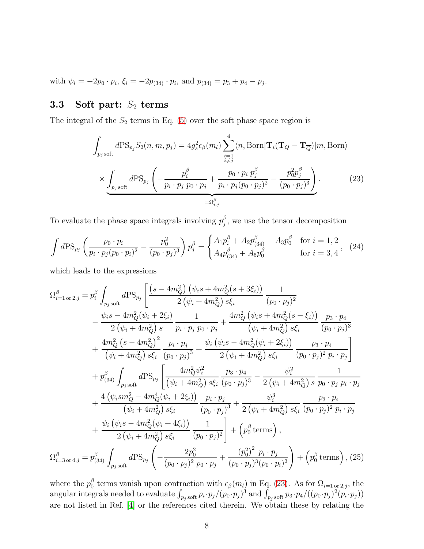with  $\psi_i = -2p_0 \cdot p_i$ ,  $\xi_i = -2p_{(34)} \cdot p_i$ , and  $p_{(34)} = p_3 + p_4 - p_j$ .

## 3.3 Soft part:  $S_2$  terms

The integral of the  $S_2$  terms in Eq. [\(5\)](#page-2-0) over the soft phase space region is

<span id="page-7-0"></span>
$$
\int_{p_j \text{ soft}} d\text{PS}_{p_j} S_2(n, m, p_j) = 4g_s^2 \epsilon_\beta(m_l) \sum_{\substack{i=1 \ i \neq j}}^4 \langle n, \text{Born} | \mathbf{T}_i(\mathbf{T}_Q - \mathbf{T}_{\overline{Q}}) | m, \text{Born} \rangle
$$

$$
\times \underbrace{\int_{p_j \text{ soft}} d\text{PS}_{p_j} \left( -\frac{p_i^\beta}{p_i \cdot p_j p_0 \cdot p_j} + \frac{p_0 \cdot p_i p_j^\beta}{p_i \cdot p_j (p_0 \cdot p_j)^2} - \frac{p_0^2 p_j^\beta}{(p_0 \cdot p_j)^3} \right)}_{=\Omega_{i,j}^\beta}.
$$
(23)

To evaluate the phase space integrals involving  $p_j^{\beta}$  $j$ , we use the tensor decomposition

<span id="page-7-1"></span>
$$
\int d\mathcal{P} S_{p_j} \left( \frac{p_0 \cdot p_i}{p_i \cdot p_j (p_0 \cdot p_i)^2} - \frac{p_0^2}{(p_0 \cdot p_j)^3} \right) p_j^{\beta} = \begin{cases} A_1 p_i^{\beta} + A_2 p_{(34)}^{\beta} + A_3 p_0^{\beta} & \text{for } i = 1, 2 \\ A_4 p_{(34)}^{\beta} + A_5 p_0^{\beta} & \text{for } i = 3, 4 \end{cases}
$$
 (24)

which leads to the expressions

$$
\Omega_{i=1 \text{ or } 2,j}^{\beta} = p_i^{\beta} \int_{p_j \text{ soft}} d\text{PS}_{p_j} \left[ \frac{(s - 4m_Q^2) (\psi_i s + 4m_Q^2 (s + 3\xi_i))}{2 (\psi_i + 4m_Q^2) s \xi_i} \frac{1}{(p_0 \cdot p_j)^2} \right. \\
- \frac{\psi_i s - 4m_Q^2 (\psi_i + 2\xi_i)}{2 (\psi_i + 4m_Q^2) s} \frac{1}{p_i \cdot p_j p_0 \cdot p_j} + \frac{4m_Q^2 (\psi_i s + 4m_Q^2 (s - \xi_i))}{(\psi_i + 4m_Q^2) s \xi_i} \frac{p_3 \cdot p_4}{(p_0 \cdot p_j)^3} \\
+ \frac{4m_Q^2 (s - 4m_Q^2)^2}{(\psi_i + 4m_Q^2) s \xi_i} \frac{p_i \cdot p_j}{(p_0 \cdot p_j)^3} + \frac{\psi_i (\psi_i s - 4m_Q^2 (\psi_i + 2\xi_i))}{2 (\psi_i + 4m_Q^2) s \xi_i} \frac{p_3 \cdot p_4}{(p_0 \cdot p_j)^2 p_i \cdot p_j} \\
+ p_{(34)}^{\beta} \int_{p_j \text{ soft}} d\text{PS}_{p_j} \left[ \frac{4m_Q^2 \psi_i^2}{(\psi_i + 4m_Q^2) s \xi_i} \frac{p_3 \cdot p_4}{(p_0 \cdot p_j)^3} - \frac{\psi_i^2}{2 (\psi_i + 4m_Q^2) s} \frac{1}{p_0 \cdot p_j p_i \cdot p_j} \right. \\
+ \frac{4 (\psi_i s m_Q^2 - 4m_Q^4 (\psi_i + 2\xi_i))}{(\psi_i + 4m_Q^2) s \xi_i} \frac{p_i \cdot p_j}{(p_0 \cdot p_j)^3} + \frac{\psi_i^3}{2 (\psi_i + 4m_Q^2) s \xi_i} \frac{p_3 \cdot p_4}{(p_0 \cdot p_j)^2 p_i \cdot p_j} \\
+ \frac{\psi_i (\psi_i s - 4m_Q^2 (\psi_i + 4\xi_i))}{2 (\psi_i + 4m_Q^2) s \xi_i} \frac{1}{(p_0 \cdot p_j)^2} + (p_0^{\beta} \text{ terms}),
$$
\n
$$
\Omega_{i=3 \text{ or } 4,j}^{\beta} = p_{(34)}^{\beta} \int_{p_j \text{ soft}} d\text
$$

where the  $p_0^{\beta}$ <sup>β</sup> terms vanish upon contraction with  $\epsilon_{\beta}(m_l)$  in Eq. [\(23\)](#page-7-0). As for  $\Omega_{i=1 \text{ or } 2,j}$ , the angular integrals needed to evaluate  $\int_{p_j \text{ soft}} p_i \cdot p_j/(p_0 \cdot p_j)^3$  and  $\int_{p_j \text{ soft}} p_3 \cdot p_4/((p_0 \cdot p_j)^2(p_i \cdot p_j))$ are not listed in Ref. [\[4\]](#page-21-3) or the references cited therein. We obtain these by relating the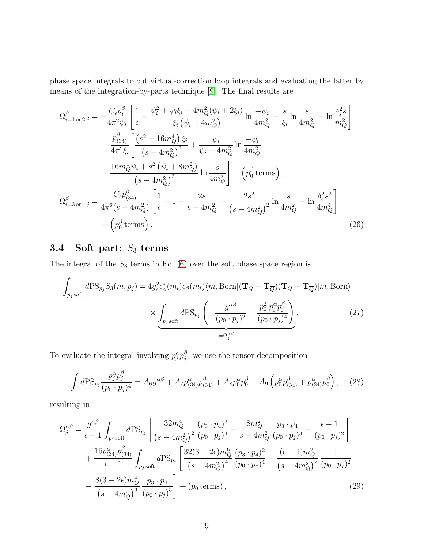phase space integrals to cut virtual-correction loop integrals and evaluating the latter by means of the integration-by-parts technique [\[9\]](#page-21-8). The final results are

$$
\Omega_{i=1 \text{ or } 2,j}^{\beta} = -\frac{C_{\epsilon}p_{i}^{\beta}}{4\pi^{2}\psi_{i}} \left[ \frac{1}{\epsilon} - \frac{\psi_{i}^{2} + \psi_{i}\xi_{i} + 4m_{Q}^{2}(\psi_{i} + 2\xi_{i})}{\xi_{i}(\psi_{i} + 4m_{Q}^{2})} \ln \frac{-\psi_{i}}{4m_{Q}^{2}} - \frac{s}{\xi_{i}} \ln \frac{s}{4m_{Q}^{2}} - \ln \frac{\delta_{s}^{2}s}{m_{Q}^{2}} \right] \n- \frac{p_{(34)}^{\beta}}{4\pi^{2}\xi_{i}} \left[ \frac{(s^{2} - 16m_{Q}^{4})\xi_{i}}{(s - 4m_{Q}^{2})^{3}} + \frac{\psi_{i}}{\psi_{i} + 4m_{Q}^{2}} \ln \frac{-\psi_{i}}{4m_{Q}^{2}} \right] \n+ \frac{16m_{Q}^{4}\psi_{i} + s^{2}(\psi_{i} + 8m_{Q}^{2})}{(s - 4m_{Q}^{2})^{3}} \ln \frac{s}{4m_{Q}^{2}} \right] + (p_{0}^{\beta} \text{ terms}),
$$
\n
$$
\Omega_{i=3 \text{ or } 4,j}^{\beta} = \frac{C_{\epsilon}p_{(34)}^{\beta}}{4\pi^{2}(s - 4m_{Q}^{2})} \left[ \frac{1}{\epsilon} + 1 - \frac{2s}{s - 4m_{Q}^{2}} + \frac{2s^{2}}{(s - 4m_{Q}^{2})^{2}} \ln \frac{s}{4m_{Q}^{2}} - \ln \frac{\delta_{s}^{2}s^{2}}{4m_{Q}^{4}} \right] \n+ (p_{0}^{\beta} \text{ terms}). \tag{26}
$$

## 3.4 Soft part:  $S_3$  terms

The integral of the  $S_3$  terms in Eq. [\(6\)](#page-2-0) over the soft phase space region is

<span id="page-8-0"></span>
$$
\int_{p_j \text{ soft}} d\text{PS}_{p_j} S_3(m, p_j) = 4g_s^2 \epsilon_\alpha^*(m_l) \epsilon_\beta(m_l) \langle m, \text{Born} | (\mathbf{T}_Q - \mathbf{T}_{\overline{Q}}) (\mathbf{T}_Q - \mathbf{T}_{\overline{Q}}) | m, \text{Born} \rangle
$$

$$
\times \underbrace{\int_{p_j \text{ soft}} d\text{PS}_{p_j} \left( -\frac{g^{\alpha \beta}}{(p_0 \cdot p_j)^2} - \frac{p_0^2 p_j^{\alpha} p_j^{\beta}}{(p_0 \cdot p_j)^4} \right)}_{=\Omega_j^{\alpha \beta}}.
$$
(27)

To evaluate the integral involving  $p_j^{\alpha} p_j^{\beta}$  $j$ , we use the tensor decomposition

<span id="page-8-1"></span>
$$
\int d\mathrm{PS}_{p_j} \frac{p_j^{\alpha} p_j^{\beta}}{(p_0 \cdot p_j)^4} = A_6 g^{\alpha \beta} + A_7 p_{(34)}^{\alpha} p_{(34)}^{\beta} + A_8 p_0^{\alpha} p_0^{\beta} + A_9 \left( p_0^{\alpha} p_{(34)}^{\beta} + p_{(34)}^{\alpha} p_0^{\beta} \right), \quad (28)
$$

resulting in

$$
\Omega_j^{\alpha\beta} = \frac{g^{\alpha\beta}}{\epsilon - 1} \int_{p_j \text{ soft}} d\text{PS}_{p_j} \left[ \frac{32m_Q^4}{(s - 4m_Q^2)^2} \frac{(p_3 \cdot p_4)^2}{(p_0 \cdot p_j)^4} - \frac{8m_Q^2}{s - 4m_Q^2} \frac{p_3 \cdot p_4}{(p_0 \cdot p_j)^3} - \frac{\epsilon - 1}{(p_0 \cdot p_j)^2} \right] + \frac{16p_{(34)}^{\alpha}p_{(34)}^{\beta}}{\epsilon - 1} \int_{p_j \text{ soft}} d\text{PS}_{p_j} \left[ \frac{32(3 - 2\epsilon)m_Q^6}{(s - 4m_Q^2)^4} \frac{(p_3 \cdot p_4)^2}{(p_0 \cdot p_j)^4} - \frac{(\epsilon - 1)m_Q^2}{(s - 4m_Q^2)^2} \frac{1}{(p_0 \cdot p_j)^2} \right. - \frac{8(3 - 2\epsilon)m_Q^4}{(s - 4m_Q^2)^3} \frac{p_3 \cdot p_4}{(p_0 \cdot p_j)^3} + (p_0 \text{ terms}), \qquad (29)
$$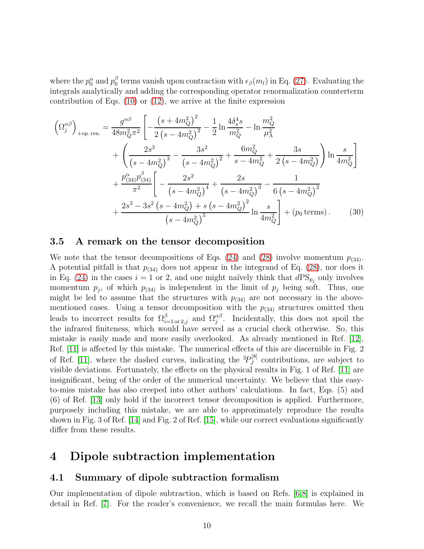where the  $p_0^{\alpha}$  and  $p_0^{\beta}$  $\frac{1}{0}$  terms vanish upon contraction with  $\epsilon_{\beta}(m_l)$  in Eq. [\(27\)](#page-8-0). Evaluating the integrals analytically and adding the corresponding operator renormalization counterterm contribution of Eqs. [\(10\)](#page-3-3) or [\(12\)](#page-4-1), we arrive at the finite expression

$$
\left(\Omega_j^{\alpha\beta}\right)_{\text{+op. ren.}} = \frac{g^{\alpha\beta}}{48m_Q^2 \pi^2} \left[ -\frac{\left(s + 4m_Q^2\right)^2}{2\left(s - 4m_Q^2\right)^2} - \frac{1}{2} \ln \frac{4\delta_s^4 s}{m_Q^2} - \ln \frac{m_Q^2}{\mu_\Lambda^2} \right. \\
\left. + \left( \frac{2s^3}{\left(s - 4m_Q^2\right)^3} - \frac{3s^2}{\left(s - 4m_Q^2\right)^2} + \frac{6m_Q^2}{s - 4m_Q^2} + \frac{3s}{2\left(s - 4m_Q^2\right)} \right) \ln \frac{s}{4m_Q^2} \right] \\
+ \frac{p_{(34)}^\alpha p_{(34)}^\beta}{\pi^2} \left[ -\frac{2s^2}{\left(s - 4m_Q^2\right)^4} + \frac{2s}{\left(s - 4m_Q^2\right)^3} - \frac{1}{6\left(s - 4m_Q^2\right)^2} \right. \\
\left. + \frac{2s^3 - 3s^2\left(s - 4m_Q^2\right) + s\left(s - 4m_Q^2\right)^2}{\left(s - 4m_Q^2\right)^5} \ln \frac{s}{4m_Q^2} \right] + \left(p_0 \text{ terms}\right). \tag{30}
$$

#### 3.5 A remark on the tensor decomposition

We note that the tensor decompositions of Eqs. [\(24\)](#page-7-1) and [\(28\)](#page-8-1) involve momentum  $p_{(34)}$ . A potential pitfall is that  $p_{(34)}$  does not appear in the integrand of Eq. [\(28\)](#page-8-1), nor does it in Eq. [\(24\)](#page-7-1) in the cases  $i = 1$  or 2, and one might naïvely think that  $dPS_{p_j}$  only involves momentum  $p_j$ , of which  $p_{(34)}$  is independent in the limit of  $p_j$  being soft. Thus, one might be led to assume that the structures with  $p_{(34)}$  are not necessary in the abovementioned cases. Using a tensor decomposition with the  $p_{(34)}$  structures omitted then leads to incorrect results for  $\Omega_{i=1 \text{ or } 2,j}^{\beta}$  and  $\Omega_j^{\alpha\beta}$ . Incidentally, this does not spoil the the infrared finiteness, which would have served as a crucial check otherwise. So, this mistake is easily made and more easily overlooked. As already mentioned in Ref. [\[12\]](#page-22-0), Ref. [\[11\]](#page-22-1) is affected by this mistake. The numerical effects of this are discernible in Fig. 2 of Ref. [\[11\]](#page-22-1), where the dashed curves, indicating the  ${}^{3}P_{J}^{[8]}$  $J<sup>[0]</sup>$  contributions, are subject to visible deviations. Fortunately, the effects on the physical results in Fig. 1 of Ref. [\[11\]](#page-22-1) are insignificant, being of the order of the numerical uncertainty. We believe that this easyto-miss mistake has also creeped into other authors' calculations. In fact, Eqs. (5) and (6) of Ref. [\[13\]](#page-22-2) only hold if the incorrect tensor decomposition is applied. Furthermore, purposely including this mistake, we are able to approximately reproduce the results shown in Fig. 3 of Ref. [\[14\]](#page-22-3) and Fig. 2 of Ref. [\[15\]](#page-22-4), while our correct evaluations significantly differ from these results.

### <span id="page-9-0"></span>4 Dipole subtraction implementation

#### 4.1 Summary of dipole subtraction formalism

Our implementation of dipole subtraction, which is based on Refs. [\[6](#page-21-5)[,8\]](#page-21-7) is explained in detail in Ref. [\[7\]](#page-21-6). For the reader's convenience, we recall the main formulas here. We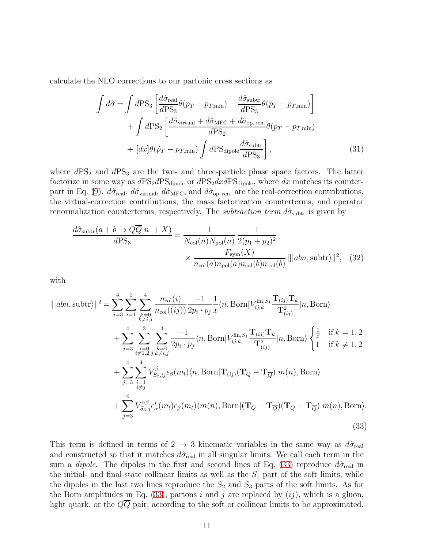calculate the NLO corrections to our partonic cross sections as

<span id="page-10-2"></span>
$$
\int d\hat{\sigma} = \int d\text{PS}_3 \left[ \frac{d\hat{\sigma}_{\text{real}}}{d\text{PS}_3} \theta (p_T - p_{T,\text{min}}) - \frac{d\hat{\sigma}_{\text{subtr}}}{d\text{PS}_3} \theta (\tilde{p}_T - p_{T,\text{min}}) \right] \n+ \int d\text{PS}_2 \left[ \frac{d\hat{\sigma}_{\text{virtual}} + d\hat{\sigma}_{\text{MFC}} + d\hat{\sigma}_{\text{op. ren.}}}{d\text{PS}_2} \theta (p_T - p_{T,\text{min}}) \right] \n+ [dx] \theta (\tilde{p}_T - p_{T,\text{min}}) \int d\text{PS}_{\text{dipole}} \frac{d\hat{\sigma}_{\text{subtr}}}{d\text{PS}_3} \right],
$$
\n(31)

where  $dPS_2$  and  $dPS_3$  are the two- and three-particle phase space factors. The latter factorize in some way as  $dPS_2dPS_{dipole}$  or  $dPS_2dxdPS_{dipole}$ , where dx matches its counter-part in Eq. [\(9\)](#page-3-1).  $d\hat{\sigma}_{\text{real}}$ ,  $d\hat{\sigma}_{\text{virtual}}$ ,  $d\hat{\sigma}_{\text{MFC}}$ , and  $d\hat{\sigma}_{\text{op. ren.}}$  are the real-correction contributions, the virtual-correction contributions, the mass factorization counterterms, and operator renormalization counterterms, respectively. The *subtraction term*  $d\hat{\sigma}_{\text{subtr}}$  is given by

<span id="page-10-1"></span>
$$
\frac{d\hat{\sigma}_{\text{subtract}}(a+b\to QQ[n]+X)}{d\text{PS}_3} = \frac{1}{N_{\text{col}}(n)N_{\text{pol}}(n)}\frac{1}{2(p_1+p_2)^2}
$$

$$
\times \frac{F_{\text{sym}}(X)}{n_{\text{col}}(a)n_{\text{pol}}(a)n_{\text{col}}(b)n_{\text{pol}}(b)} \left\| |abn,\text{subtr} \rangle \right\|^2, \quad (32)
$$

with

<span id="page-10-0"></span>
$$
\|\|abn, \text{subtr}\|\|^2 = \sum_{j=3}^4 \sum_{i=1}^2 \sum_{\substack{k=0 \ k \neq i,j}}^4 \frac{n_{\text{col}}(i)}{n_{\text{col}}((ij))} \frac{-1}{2p_i \cdot p_j} \frac{1}{x} \langle n, \text{Born}| V_{ij,k}^{\text{ini}, S_1} \frac{\mathbf{T}_{(ij)} \mathbf{T}_k}{\mathbf{T}_{(ij)}^2} |n, \text{Born}\rangle + \sum_{j=3}^4 \sum_{\substack{i=0 \ i \neq 1, 2, j}}^4 \sum_{\substack{k=0 \ k \neq i,j}}^4 \frac{-1}{2p_i \cdot p_j} \langle n, \text{Born}| V_{ij,k}^{\text{fin}, S_1} \frac{\mathbf{T}_{(ij)} \mathbf{T}_k}{\mathbf{T}_{(ij)}^2} |n, \text{Born}\rangle \begin{cases} \frac{1}{x} & \text{if } k = 1, 2 \\ 1 & \text{if } k \neq 1, 2 \end{cases} + \sum_{j=3}^4 \sum_{\substack{i=1 \ i \neq j}}^4 V_{S_2, ij}^{\beta} \epsilon_{\beta}(m_l) \langle n, \text{Born}| \mathbf{T}_{(ij)} (\mathbf{T}_Q - \mathbf{T}_{\overline{Q}}) |m(n), \text{Born}\rangle + \sum_{j=3}^4 V_{S_3, j}^{\alpha \beta} \epsilon_{\alpha}^*(m_l) \epsilon_{\beta}(m_l) \langle m(n), \text{Born}| (\mathbf{T}_Q - \mathbf{T}_{\overline{Q}}) (\mathbf{T}_Q - \mathbf{T}_{\overline{Q}}) |m(n), \text{Born}\rangle.
$$
\n(33)

This term is defined in terms of  $2 \rightarrow 3$  kinematic variables in the same way as  $d\hat{\sigma}_{\text{real}}$ and constructed so that it matches  $d\hat{\sigma}_{\text{real}}$  in all singular limits: We call each term in the sum a *dipole*. The dipoles in the first and second lines of Eq. [\(33\)](#page-10-0) reproduce  $d\hat{\sigma}_{\text{real}}$  in the initial- and final-state collinear limits as well as the  $S_1$  part of the soft limits, while the dipoles in the last two lines reproduce the  $S_2$  and  $S_3$  parts of the soft limits. As for the Born amplitudes in Eq. [\(33\)](#page-10-0), partons i and j are replaced by  $(ij)$ , which is a gluon, light quark, or the  $Q\overline{Q}$  pair, according to the soft or collinear limits to be approximated.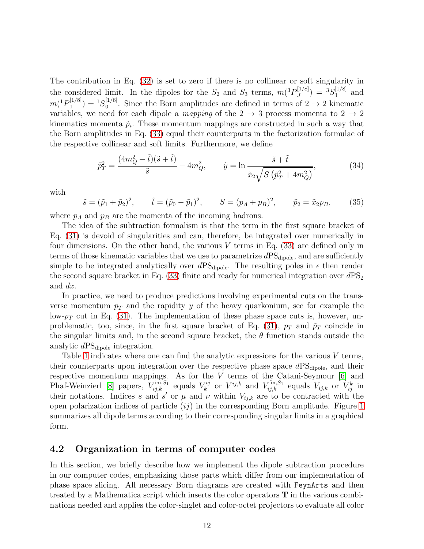The contribution in Eq. [\(32\)](#page-10-1) is set to zero if there is no collinear or soft singularity in the considered limit. In the dipoles for the  $S_2$  and  $S_3$  terms,  $m(^3P_J^{[1/8]}$  $J^{[1/8]}$ ) =  ${}^{3}S_{1}^{[1/8]}$  $_1^{\left[1/5\right]}$  and  $m(^1P_1^{[1/8]}$  $\binom{[1/8]}{1} = {}^{1}S_{0}^{[1/8]}$  $\int_0^{\lfloor 1/\sigma \rfloor}$ . Since the Born amplitudes are defined in terms of  $2 \rightarrow 2$  kinematic variables, we need for each dipole a mapping of the  $2 \rightarrow 3$  process momenta to  $2 \rightarrow 2$ kinematics momenta  $\tilde{p}_i$ . These momentum mappings are constructed in such a way that the Born amplitudes in Eq. [\(33\)](#page-10-0) equal their counterparts in the factorization formulae of the respective collinear and soft limits. Furthermore, we define

$$
\tilde{p}_T^2 = \frac{(4m_Q^2 - \tilde{t})(\tilde{s} + \tilde{t})}{\tilde{s}} - 4m_Q^2, \qquad \tilde{y} = \ln \frac{\tilde{s} + \tilde{t}}{\tilde{x}_2 \sqrt{S(\tilde{p}_T^2 + 4m_Q^2)}},\tag{34}
$$

with

$$
\tilde{s} = (\tilde{p}_1 + \tilde{p}_2)^2
$$
,  $\tilde{t} = (\tilde{p}_0 - \tilde{p}_1)^2$ ,  $S = (p_A + p_B)^2$ ,  $\tilde{p}_2 = \tilde{x}_2 p_B$ , (35)

where  $p_A$  and  $p_B$  are the momenta of the incoming hadrons.

The idea of the subtraction formalism is that the term in the first square bracket of Eq. [\(31\)](#page-10-2) is devoid of singularities and can, therefore, be integrated over numerically in four dimensions. On the other hand, the various  $V$  terms in Eq. [\(33\)](#page-10-0) are defined only in terms of those kinematic variables that we use to parametrize  $dPS<sub>dipole</sub>$ , and are sufficiently simple to be integrated analytically over  $dPS_{\text{dipole}}$ . The resulting poles in  $\epsilon$  then render the second square bracket in Eq. [\(33\)](#page-10-0) finite and ready for numerical integration over  $dPS_2$ and dx.

In practice, we need to produce predictions involving experimental cuts on the transverse momentum  $p_T$  and the rapidity y of the heavy quarkonium, see for example the low- $p_T$  cut in Eq. [\(31\)](#page-10-2). The implementation of these phase space cuts is, however, un-problematic, too, since, in the first square bracket of Eq. [\(31\)](#page-10-2),  $p_T$  and  $\tilde{p}_T$  coincide in the singular limits and, in the second square bracket, the  $\theta$  function stands outside the analytic  $dPS_{\text{dipole}}$  integration.

Table [1](#page-13-0) indicates where one can find the analytic expressions for the various  $V$  terms, their counterparts upon integration over the respective phase space  $dPS<sub>dipole</sub>$ , and their respective momentum mappings. As for the V terms of the Catani-Seymour [\[6\]](#page-21-5) and Phaf-Weinzierl [\[8\]](#page-21-7) papers,  $V_{ij,k}^{\text{ini},S_1}$  equals  $V_k^{ij}$  $\mathbf{v}_{k}^{ij}$  or  $V^{ij,k}$  and  $V_{ij,k}^{\text{fin},S_1}$  equals  $V_{ij,k}$  or  $V_{ij}^k$  in their notations. Indices s and s' or  $\mu$  and  $\nu$  within  $V_{i,j,k}$  are to be contracted with the open polarization indices of particle  $(ij)$  in the corresponding Born amplitude. Figure [1](#page-12-0) summarizes all dipole terms according to their corresponding singular limits in a graphical form.

#### 4.2 Organization in terms of computer codes

In this section, we briefly describe how we implement the dipole subtraction procedure in our computer codes, emphasizing those parts which differ from our implementation of phase space slicing. All necessary Born diagrams are created with FeynArts and then treated by a Mathematica script which inserts the color operators  $T$  in the various combinations needed and applies the color-singlet and color-octet projectors to evaluate all color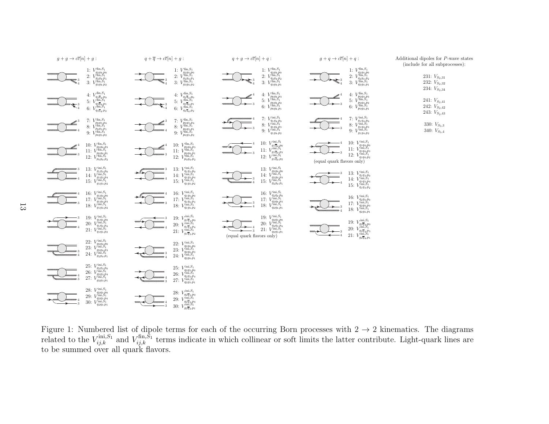

<span id="page-12-0"></span>Figure 1: Numbered list of dipole terms for each of the occurring Born processes with  $2 \rightarrow$  $\rightarrow$  2 kinematics. The diagrams<br>optribute Light-quark lines are related to the  $V_{ij,k}^{\text{ini},S_1}$  and  $V_{ij,k}^{\text{fin},S_1}$  terms indicate in which collinear or soft limits the latter contribute. Light-quark lines are to be summed over all quar<sup>k</sup> flavors.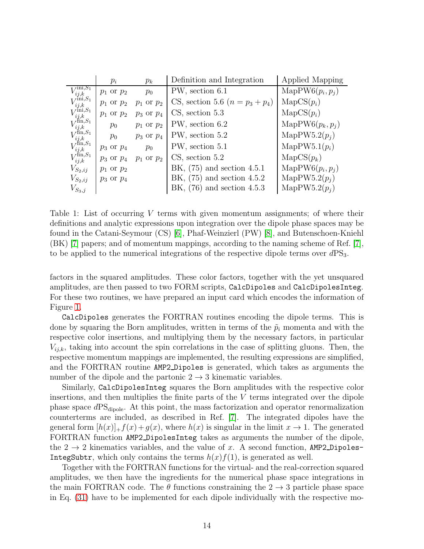|                                                                                                                                                                                               | $p_i$          | $p_k$          | Definition and Integration        | Applied Mapping           |
|-----------------------------------------------------------------------------------------------------------------------------------------------------------------------------------------------|----------------|----------------|-----------------------------------|---------------------------|
| $\overline{\text{r}}$ ini, $S_1$                                                                                                                                                              | $p_1$ or $p_2$ | $p_0$          | PW, section 6.1                   | MapPW6 $(p_i, p_i)$       |
|                                                                                                                                                                                               | $p_1$ or $p_2$ | $p_1$ or $p_2$ | CS, section 5.6 $(n = p_3 + p_4)$ | $\text{MapCS}(p_i)$       |
|                                                                                                                                                                                               | $p_1$ or $p_2$ | $p_3$ or $p_4$ | $CS$ , section 5.3                | $\text{MapCS}(p_i)$       |
|                                                                                                                                                                                               | $p_0$          | $p_1$ or $p_2$ | PW, section 6.2                   | MapPW6 $(p_k, p_i)$       |
| $V_{ij,k}^{ini, S_1}\ V_{ij,k}^{\text{ini}, S_1}\ V_{ij,k}^{\text{ini}, S_1}\ V_{ij,k}^{\text{fin}, S_1}\ V_{ij,k}^{\text{fin}, S_1}\ V_{ij,k}^{\text{fin}, S_1}\ V_{ij,k}^{\text{fin}, S_1}$ | $p_0$          | $p_3$ or $p_4$ | PW, section 5.2                   | MapPW5.2 $(p_i)$          |
|                                                                                                                                                                                               | $p_3$ or $p_4$ | $p_0$          | PW, section 5.1                   | $\text{MapPW5.1}(p_i)$    |
|                                                                                                                                                                                               | $p_3$ or $p_4$ | $p_1$ or $p_2$ | $CS$ , section $5.2$              | $\text{MapCS}(p_k)$       |
| $V_{S_2,ij}$                                                                                                                                                                                  | $p_1$ or $p_2$ |                | BK, $(75)$ and section 4.5.1      | $\text{MapPW6}(p_i, p_i)$ |
| $V_{S_2,ij}$                                                                                                                                                                                  | $p_3$ or $p_4$ |                | BK, $(75)$ and section 4.5.2      | MapPW5.2 $(p_i)$          |
| $V_{S_3,j}$                                                                                                                                                                                   |                |                | BK, $(76)$ and section 4.5.3      | MapPW5.2 $(p_i)$          |

<span id="page-13-0"></span>Table 1: List of occurring  $V$  terms with given momentum assignments; of where their definitions and analytic expressions upon integration over the dipole phase spaces may be found in the Catani-Seymour (CS) [\[6\]](#page-21-5), Phaf-Weinzierl (PW) [\[8\]](#page-21-7), and Butenschoen-Kniehl (BK) [\[7\]](#page-21-6) papers; and of momentum mappings, according to the naming scheme of Ref. [\[7\]](#page-21-6), to be applied to the numerical integrations of the respective dipole terms over  $dPS<sub>3</sub>$ .

factors in the squared amplitudes. These color factors, together with the yet unsquared amplitudes, are then passed to two FORM scripts, CalcDipoles and CalcDipolesInteg. For these two routines, we have prepared an input card which encodes the information of Figure [1.](#page-12-0)

CalcDipoles generates the FORTRAN routines encoding the dipole terms. This is done by squaring the Born amplitudes, written in terms of the  $\tilde{p}_i$  momenta and with the respective color insertions, and multiplying them by the necessary factors, in particular  $V_{i,j,k}$ , taking into account the spin correlations in the case of splitting gluons. Then, the respective momentum mappings are implemented, the resulting expressions are simplified, and the FORTRAN routine AMP2 Dipoles is generated, which takes as arguments the number of the dipole and the partonic  $2 \rightarrow 3$  kinematic variables.

Similarly, CalcDipolesInteg squares the Born amplitudes with the respective color insertions, and then multiplies the finite parts of the V terms integrated over the dipole phase space  $dPS_{\text{dipole}}$ . At this point, the mass factorization and operator renormalization counterterms are included, as described in Ref. [\[7\]](#page-21-6). The integrated dipoles have the general form  $[h(x)]_+f(x)+g(x)$ , where  $h(x)$  is singular in the limit  $x \to 1$ . The generated FORTRAN function AMP2 DipolesInteg takes as arguments the number of the dipole, the  $2 \rightarrow 2$  kinematics variables, and the value of x. A second function, AMP2\_Dipoles-IntegSubtr, which only contains the terms  $h(x)f(1)$ , is generated as well.

Together with the FORTRAN functions for the virtual- and the real-correction squared amplitudes, we then have the ingredients for the numerical phase space integrations in the main FORTRAN code. The  $\theta$  functions constraining the  $2 \rightarrow 3$  particle phase space in Eq. [\(31\)](#page-10-2) have to be implemented for each dipole individually with the respective mo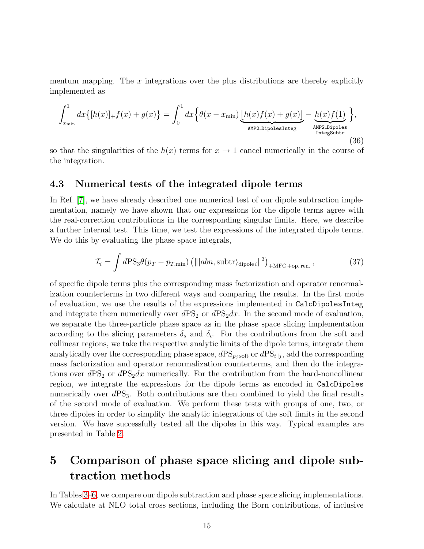mentum mapping. The  $x$  integrations over the plus distributions are thereby explicitly implemented as

$$
\int_{x_{\min}}^{1} dx \{ [h(x)]_{+} f(x) + g(x) \} = \int_{0}^{1} dx \{ \theta(x - x_{\min}) \underbrace{[h(x)f(x) + g(x)]}_{\text{AMP2-DipolesInteg}} - \underbrace{h(x)f(1)}_{\text{AMP2-DipolesInteg}} \},
$$
\n(36)

so that the singularities of the  $h(x)$  terms for  $x \to 1$  cancel numerically in the course of the integration.

#### <span id="page-14-1"></span>4.3 Numerical tests of the integrated dipole terms

In Ref. [\[7\]](#page-21-6), we have already described one numerical test of our dipole subtraction implementation, namely we have shown that our expressions for the dipole terms agree with the real-correction contributions in the corresponding singular limits. Here, we describe a further internal test. This time, we test the expressions of the integrated dipole terms. We do this by evaluating the phase space integrals,

<span id="page-14-2"></span>
$$
\mathcal{I}_{i} = \int d\text{PS}_{3}\theta(p_{T} - p_{T,\text{min}}) \left( \|\langle abn, \text{subtr}\rangle_{\text{dipole}}\|^{2} \right)_{+\text{MFC + op. ren.}},
$$
\n(37)

of specific dipole terms plus the corresponding mass factorization and operator renormalization counterterms in two different ways and comparing the results. In the first mode of evaluation, we use the results of the expressions implemented in CalcDipolesInteg and integrate them numerically over  $dPS_2$  or  $dPS_2dx$ . In the second mode of evaluation, we separate the three-particle phase space as in the phase space slicing implementation according to the slicing parameters  $\delta_s$  and  $\delta_c$ . For the contributions from the soft and collinear regions, we take the respective analytic limits of the dipole terms, integrate them analytically over the corresponding phase space,  $dPS_{p_j}$  soft or  $dPS_{i||j}$ , add the corresponding mass factorization and operator renormalization counterterms, and then do the integrations over  $dPS_2$  or  $dPS_2dx$  numerically. For the contribution from the hard-noncollinear region, we integrate the expressions for the dipole terms as encoded in CalcDipoles numerically over  $dPS_3$ . Both contributions are then combined to yield the final results of the second mode of evaluation. We perform these tests with groups of one, two, or three dipoles in order to simplify the analytic integrations of the soft limits in the second version. We have successfully tested all the dipoles in this way. Typical examples are presented in Table [2.](#page-15-0)

## <span id="page-14-0"></span>5 Comparison of phase space slicing and dipole subtraction methods

In Tables [3–](#page-17-0)[6,](#page-20-0) we compare our dipole subtraction and phase space slicing implementations. We calculate at NLO total cross sections, including the Born contributions, of inclusive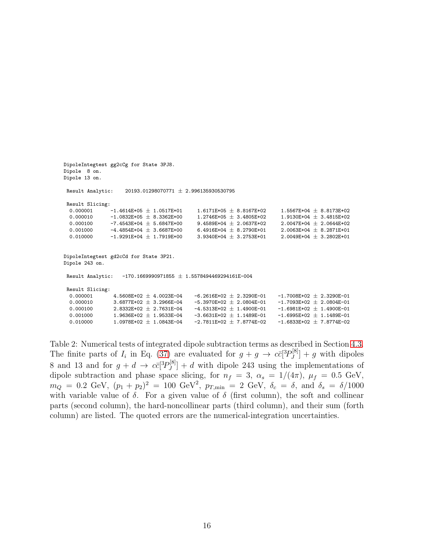```
DipoleIntegtest gg2cCg for State 3PJ8.
Dipole 8 on.
Dipole 13 on.
Result Analytic: 20193.01298070771 \pm 2.996135930530795
 Result Slicing:<br>0.000001 -1.4614E+05 \pm 1.0517E+01
                                                     1.6171E+05 ~\pm~8.8167E+02 ~~~~~~~~ 1.5567E+04 ~\pm~8.8173E+020.000010 -1.0832E+05 \pm 8.3362E+00 1.2746E+05 \pm 3.4805E+02 1.9130E+04 \pm 3.4815E+020.000100 -7.4543E+04 \pm 5.6847E+00 9.4589E+04 \pm 2.0637E+02 2.0047E+04 \pm 2.0644E+02
  0.001000 -4.4854E+04 \pm 3.6687E+00 6.4916E+04 \pm 8.2790E+01 2.0063E+04 \pm 8.2871E+01<br>0.010000 -1.9291E+04 \pm 1.7919E+00 3.9340E+04 \pm 3.2753E+01 2.0049E+04 \pm 3.2802E+01
  0.010000 -1.9291E+04 \pm 1.7919E+00 3.9340E+04 \pm 3.2753E+01
DipoleIntegtest gd2cCd for State 3P21.
Dipole 243 on.
 Result Analytic: -170.1669990971855 \pm 1.5578494469294161E-004Result Slicing:
  0.000001 4.5608E+02 \pm 4.0023E-04 -6.2616E+02 \pm 2.3290E-01 -1.7008E+02 \pm 2.3290E-01<br>0.000010 3.6877E+02 \pm 3.2966E-04 -5.3970E+02 \pm 2.0804E-01 -1.7093E+02 \pm 2.0804E-010.000010 3.6877E+02 ± 3.2966E-04 -5.3970E+02 ± 2.0804E-01 -1.7093E+02 ± 2.0804E-01
  0.000100 2.8332E+02 \pm 2.7631E-04 -4.5313E+02 \pm 1.4900E-01 -1.6981E+02 \pm 1.4900E-01<br>0.001000 1.9636E+02 \pm 1.9533E-04 -3.6631E+02 \pm 1.1489E-01 -1.6995E+02 \pm 1.1489E-01
                                                     -3.6631E+02 \pm 1.1489E-010.010000 1.0978E+02 \pm 1.0843E-04 -2.7811E+02 \pm 7.8774E-02 -1.6833E+02 \pm 7.8774E-02
```
<span id="page-15-0"></span>Table 2: Numerical tests of integrated dipole subtraction terms as described in Section [4.3.](#page-14-1) The finite parts of  $I_i$  in Eq. [\(37\)](#page-14-2) are evaluated for  $g + g \to c\bar{c}[^3P_J^{[8]}]$  $\left[\begin{matrix}g^{[0]} \\ g^{[0]} \end{matrix}\right] + g$  with dipoles 8 and 13 and for  $g + d \rightarrow c\bar{c}[^3P_J^{[8]}]$  $J<sup>[0]</sup>$ </sup> $]$  + d with dipole 243 using the implementations of dipole subtraction and phase space slicing, for  $n_f = 3$ ,  $\alpha_s = 1/(4\pi)$ ,  $\mu_f = 0.5$  GeV,  $m_Q = 0.2 \text{ GeV}, (p_1 + p_2)^2 = 100 \text{ GeV}^2, p_{T,\text{min}} = 2 \text{ GeV}, \delta_c = \delta, \text{ and } \delta_s = \delta/1000$ with variable value of  $\delta$ . For a given value of  $\delta$  (first column), the soft and collinear parts (second column), the hard-noncollinear parts (third column), and their sum (forth column) are listed. The quoted errors are the numerical-integration uncertainties.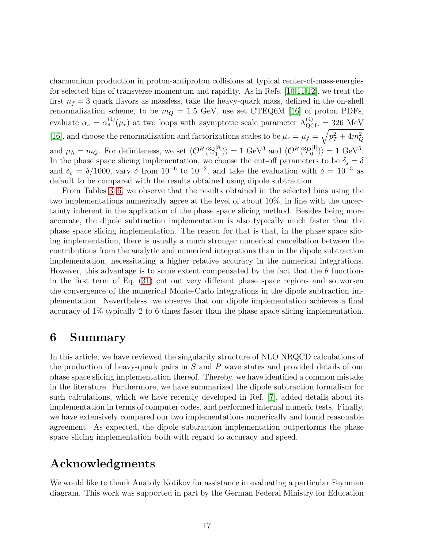charmonium production in proton-antiproton collisions at typical center-of-mass-energies for selected bins of transverse momentum and rapidity. As in Refs. [\[10,](#page-21-9)[11](#page-22-1)[,12\]](#page-22-0), we treat the first  $n_f = 3$  quark flavors as massless, take the heavy-quark mass, defined in the on-shell renormalization scheme, to be  $m_Q = 1.5$  GeV, use set CTEQ6M [\[16\]](#page-22-5) of proton PDFs, evaluate  $\alpha_s = \alpha_s^{(4)}(\mu_r)$  at two loops with asymptotic scale parameter  $\Lambda_{\text{QCD}}^{(4)} = 326$  MeV [\[16\]](#page-22-5), and choose the renormalization and factorizations scales to be  $\mu_r = \mu_f = \sqrt{p_T^2 + 4m_Q^2}$ and  $\mu_{\Lambda} = m_Q$ . For definiteness, we set  $\langle \mathcal{O}^H({}^3S_1^{[8]})$  $\langle \mathcal{O}^H(3P_0^{[1]}) \rangle = 1$  GeV<sup>3</sup> and  $\langle \mathcal{O}^H(3P_0^{[1]}) \rangle$  $\langle 0^{[1]} \rangle$  = 1 GeV<sup>5</sup>. In the phase space slicing implementation, we choose the cut-off parameters to be  $\delta_s = \delta$ and  $\delta_c = \delta/1000$ , vary  $\delta$  from  $10^{-6}$  to  $10^{-2}$ , and take the evaluation with  $\delta = 10^{-3}$  as default to be compared with the results obtained using dipole subtraction.

From Tables [3–](#page-17-0)[6,](#page-20-0) we observe that the results obtained in the selected bins using the two implementations numerically agree at the level of about 10%, in line with the uncertainty inherent in the application of the phase space slicing method. Besides being more accurate, the dipole subtraction implementation is also typically much faster than the phase space slicing implementation. The reason for that is that, in the phase space slicing implementation, there is usually a much stronger numerical cancellation between the contributions from the analytic and numerical integrations than in the dipole subtraction implementation, necessitating a higher relative accuracy in the numerical integrations. However, this advantage is to some extent compensated by the fact that the  $\theta$  functions in the first term of Eq. [\(31\)](#page-10-2) cut out very different phase space regions and so worsen the convergence of the numerical Monte-Carlo integrations in the dipole subtraction implementation. Nevertheless, we observe that our dipole implementation achieves a final accuracy of 1% typically 2 to 6 times faster than the phase space slicing implementation.

### <span id="page-16-0"></span>6 Summary

In this article, we have reviewed the singularity structure of NLO NRQCD calculations of the production of heavy-quark pairs in S and P wave states and provided details of our phase space slicing implementation thereof. Thereby, we have identified a common mistake in the literature. Furthermore, we have summarized the dipole subtraction formalism for such calculations, which we have recently developed in Ref. [\[7\]](#page-21-6), added details about its implementation in terms of computer codes, and performed internal numeric tests. Finally, we have extensively compared our two implementations numerically and found reasonable agreement. As expected, the dipole subtraction implementation outperforms the phase space slicing implementation both with regard to accuracy and speed.

## Acknowledgments

We would like to thank Anatoly Kotikov for assistance in evaluating a particular Feynman diagram. This work was supported in part by the German Federal Ministry for Education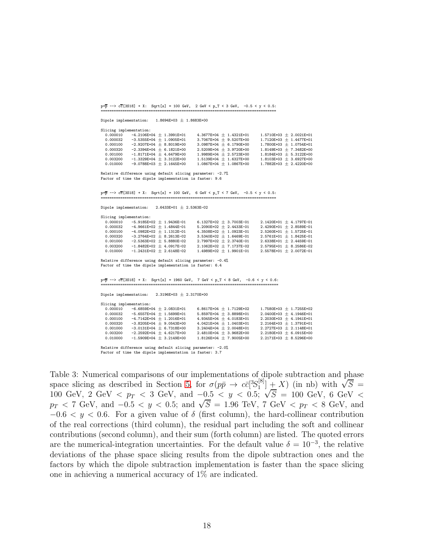$p+\overline{p}$  -->  $c\overline{c}$ [3S18] + X: Sqrt[s] = 100 GeV, 2 GeV < p\_T < 3 GeV, -0.5 < y < 0.5: ================================================================================

Dipole implementation:  $1.8694E+03 \pm 1.8683E+00$ 

| Slicing implementation: |                              |                             |                           |
|-------------------------|------------------------------|-----------------------------|---------------------------|
| 0.000010                | $-4.2106E+04 \pm 1.3991E+01$ | $4.3677E+04 \pm 1.4321E+01$ | $1.5710E+03 + 2.0021E+01$ |
| 0.000032                | $-3.5355E+04 \pm 1.0905E+01$ | $3.7067E+04 \pm 9.5207E+00$ | $1.7120E+03 + 1.4477E+01$ |
| 0.000100                | $-2.9207E+04 \pm 8.8019E+00$ | $3.0987E+04 \pm 6.1790E+00$ | $1.7800E+03 + 1.0754E+01$ |
| 0.000320                | $-2.3394E+04 \pm 6.1821E+00$ | $2.5209E+04 + 3.9720E+00$   | $1.8149E+03 + 7.3482E+00$ |
| 0.001000                | $-1.8171E+04 \pm 4.6479E+00$ | $1.9989E+04 \pm 2.5723E+00$ | $1.8184E+03 + 5.3122E+00$ |
| 0.003200                | $-1.3329E+04 + 3.3122E+00$   | $1.5139E+04 \pm 1.6327E+00$ | $1.8103E+03 + 3.6927E+00$ |
| 0.010000                | $-9.0788E+03 + 2.1645E+00$   | $1.0867E+04 + 1.0867E+00$   | $1.7882E+03 + 2.4220E+00$ |
|                         |                              |                             |                           |

Relative difference using default slicing parameter: -2.7% Factor of time the dipole implementation is faster: 9.6

 $p+p$  -->  $cc[3S18] + X$ : Sqrt[s] = 100 GeV, 6 GeV <  $p_T < 7$  GeV, -0.5 <  $y < 0.5$ : ================================================================================

Dipole implementation:  $2.6433E+01 \pm 2.5363E-02$ 

| Slicing implementation: |                              |                             |                             |
|-------------------------|------------------------------|-----------------------------|-----------------------------|
| 0.000010                | $-5.9185E+02 \pm 1.9436E-01$ | 6.1327E+02 $\pm$ 3.7003E-01 | $2.1420E+01 + 4.1797E-01$   |
| 0.000032                | $-4.9661E+02 + 1.4844E-01$   | 5.2090E+02 $\pm$ 2.4433E-01 | 2.4290E+01 $\pm$ 2.8589E-01 |
| 0.000100                | $-4.0982E+02 \pm 1.1312E-01$ | $4.3508E+02 + 1.0923E-01$   | $2.5260E+01 + 1.5725E-01$   |
| 0.000320                | $-3.2764E+02 + 8.2613E-02$   | $3.5340E+02 + 1.6469E-01$   | $2.5761E+01 + 1.8425E-01$   |
| 0.001000                | $-2.5363E+02 \pm 5.8880E-02$ | $2.7997E+02 \pm 2.3740E-01$ | $2.6338E+01 + 2.4459E-01$   |
| 0.003200                | $-1.8482E+02 + 4.0917E-02$   | $2.1062E+02 + 7.1737E-02$   | $2.5795E+01 + 8.2586E-02$   |
| 0.010000                | $-1.2431E+02 + 2.6148E-02$   | $1.4989E+02 + 1.9901E-01$   | $2.5578E+01 + 2.0072E-01$   |

Relative difference using default slicing parameter: -0.4% Factor of time the dipole implementation is faster: 6.4

 $p+\overline{p}$  -->  $c\overline{c}$ [3S18] + X: Sqrt[s] = 1960 GeV, 7 GeV <  $p_T < 8$  GeV, -0.6 <  $y < 0.6$ : ==================

Dipole implementation:  $2.3196E+03 \pm 2.3170E+00$ Slicing implementation:<br>0.000010 -6.6859E+ 0.0001020101 -6.6859E+04 ± 2.0831E+01 6.8617E+04 ± 1.7129E+02 1.7580E+03 ± 1.7255E+02  $0.000032$   $-5.6557E+04 \pm 1.5699E+01$   $5.8597E+04 \pm 3.8898E+01$   $2.0400E+03 \pm 4.1946E+01$ <br> $0.000100$   $-4.7142E+04 \pm 1.2016E+01$   $4.9345E+04 \pm 4.0183E+01$   $2.2030E+03 \pm 4.1941E+01$  $\begin{array}{lllll} 0.000100 & -4.7142 \text{E} + 04 \; \pm \; 1.2016 \text{E} + 01 & 4.9345 \text{E} + 04 \; \pm \; 4.0183 \text{E} + 01 & 2.2030 \text{E} + 03 \; \pm \; 4.1941 \text{E} + 01 \\ 0.000320 & -3.8205 \text{E} + 04 \; \pm \; 9.0543 \text{E} + 00 & 4.0421 \text{E} + 04 \; \pm \; 1.0403 \text{E} +$  $-3.8205E+04 \pm 9.0543E+00$   $4.0421E+04 \pm 1.0403E+01$   $2.2164E+03 \pm 1.3791E+01$ <br> $-3.0131E+04 \pm 6.7318E+00$   $3.2404E+04 \pm 2.0048E+01$   $2.2727E+03 \pm 2.1148E+01$  $\begin{array}{lllllll} 0.001000 & -3.0131\text{E}+04 & \pm& 6.7318\text{E}+00 & 3.2404\text{E}+04 & \pm& 2.0048\text{E}+01 & 2.2727\text{E}+03 & \pm& 2.1148\text{E}+01 \\ 0.003200 & -2.2592\text{E}+04 & \pm& 4.6217\text{E}+00 & 2.4810\text{E}+04 & \pm& 3.9682\text{E}+00 & 2.2180\text{E}+03$  $0.003200$   $-2.2592E+04 + 4.6217E+00$   $2.4810E+04 + 3.9682E+00$   $2.2180E+03 + 6.0915E+00$ <br> $0.010000$   $-1.5909E+04 + 3.2149E+00$   $1.8126E+04 + 7.9005E+00$   $2.2171E+03 + 8.5296E+00$  $-1.5909E+04 \pm 3.2149E+00$ 

Relative difference using default slicing parameter: -2.0% Factor of time the dipole implementation is faster: 3.7

<span id="page-17-0"></span>Table 3: Numerical comparisons of our implementations of dipole subtraction and phase space slicing as described in Section [5,](#page-14-0) for  $\sigma(p\bar{p} \to c\bar{c}[^3S_1^{[8]}]$  $\begin{bmatrix}\n\begin{bmatrix}\n8 \\
1\n\end{bmatrix} + X$  (in nb) with  $\sqrt{S}$  = 100 GeV, 2 GeV  $\langle p_T \rangle$  and  $\langle p_T \rangle$   $\langle p_T \rangle$   $\langle p_T \rangle$   $\langle p_T \rangle$  (in in ) with  $\sqrt{s}$ <br>100 GeV, 2 GeV  $\langle p_T \rangle$   $\langle p_T \rangle$  and  $\langle p_T \rangle$   $\langle p_T \rangle$   $\langle p_T \rangle$   $\langle p_T \rangle$  (in in ) with  $\sqrt{s}$  $p_T < 7$  GeV, and  $-0.5 < y < 0.5$ ; and  $\sqrt{S} = 1.96$  TeV, 7 GeV  $\langle p_T < 8$  GeV, and  $-0.6 < y < 0.6$ . For a given value of  $\delta$  (first column), the hard-collinear contribution of the real corrections (third column), the residual part including the soft and collinear contributions (second column), and their sum (forth column) are listed. The quoted errors are the numerical-integration uncertainties. For the default value  $\delta = 10^{-3}$ , the relative deviations of the phase space slicing results from the dipole subtraction ones and the factors by which the dipole subtraction implementation is faster than the space slicing one in achieving a numerical accuracy of 1% are indicated.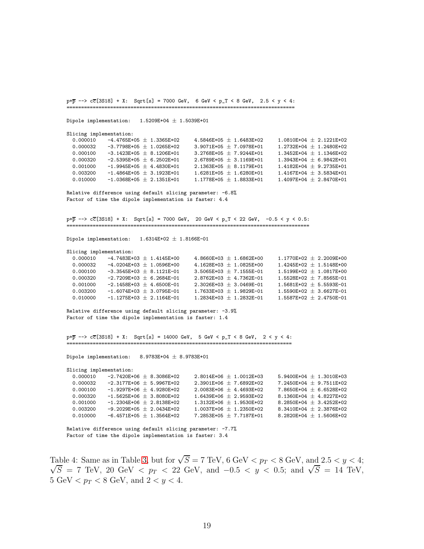```
p+\overline{p} --> c\overline{c}[3S18] + X: Sqrt[s] = 7000 GeV, 6 GeV < p_T < 8 GeV, 2.5 < y < 4:
==============================================================================
Dipole implementation: 1.5209E+04 \pm 1.5039E+01Slicing implementation:
  0.000010 -4.4765E+05 \pm 1.3365E+02 4.5846E+05 \pm 1.6483E+02 1.0810E+04 \pm 2.1221E+020.000032 -3.7798E+05 \pm 1.0265E+02 3.9071E+05 \pm 7.0978E+01 1.2732E+04 \pm 1.2480E+02
   0.000100 -3.1423\text{E}+05\,\pm\,8.1206\text{E}+01 3.2768\text{E}+05\,\pm\,7.9244\text{E}+01 1.3452\text{E}+04\,\pm\,1.1346\text{E}+020.000100 -3.1423E+05 \pm 8.1206E+01 = 3.2768E+05 \pm 7.9244E+01 = 1.3452E+04 \pm 1.1346E+02<br>
0.000100 -2.15395E+05 \pm 6.2502E+01 = 2.6789E+05 \pm 3.1169E+01 = 1.3943E+04 \pm 6.9842E+01
  0.001000 -1.9945E+05 \pm 4.4830E+01 2.1363E+05 \pm 8.1179E+01 1.4182E+04 \pm 9.2735E+010.003200 -1.4864E+05 \pm 3.1923E+01 1.6281E+05 \pm 1.6280E+01 1.4167E+04 \pm 3.5834E+01
   0.010000 -1.0368E+05 \pm 2.1351E+01 1.1778E+05 \pm 1.8833E+01 1.4097E+04 \pm 2.8470E+01Relative difference using default slicing parameter: -6.8%
Factor of time the dipole implementation is faster: 4.4
p+\overline{p} --> c\overline{c}[3S18] + X: Sqrt[s] = 7000 GeV, 20 GeV < p_T < 22 GeV, -0.5 < y < 0.5:
      ===================================================================================
Dipole implementation: 1.6314E+02 \pm 1.8166E-01Slicing implementation:
  0.000010 -4.7483E+03 \pm 1.4145E+00 4.8660E+03 \pm 1.6862E+00 1.1770E+02 \pm 2.2009E+000.000032  -4.0204E+03 \pm 1.0596E+00  4.1628E+03 \pm 1.0825E+00  1.4245E+02 \pm 1.5148E+00<br>0.000100  -3.3545E+03 \pm 8.1121E-01  3.5065E+03 \pm 7.1555E-01  1.5199E+02 \pm 1.0817E+000.000100 -3.3545E+03 \pm 8.1121E-01 3.5065E+03 \pm 7.1555E-01 1.5199E+02 \pm 1.0817E+00<br>0.000320 -2.7209E+03 \pm 6.2684E-01 2.8762E+03 \pm 4.7362E-01 1.5528E+02 \pm 7.8565E-01
               -2.7209E+03 \pm 6.2684E-01 2.8762E+03 \pm 4.7362E-01<br>-2.1458E+03 \pm 4.6500E-01 2.3026E+03 \pm 3.0469E-010.001000 -2.1458E+03 \pm 4.6500E-01 2.3026E+03 \pm 3.0469E-01 1.5681E+02 \pm 5.5593E-010.003200 -1.6074E+03 \pm 3.0795E-01 1.7633E+03 \pm 1.9829E-01 1.5590E+02 \pm 3.6627E-010.010000 -1.1275E+03 \pm 2.1164E-01 1.2834E+03 \pm 1.2832E-01 1.5587E+02 \pm 2.4750E-01Relative difference using default slicing parameter: -3.9%
Factor of time the dipole implementation is faster: 1.4
p+\overline{p} --> c\overline{c}[3S18] + X: Sqrt[s] = 14000 GeV, 5 GeV < p_T < 8 GeV, 2 < y < 4:
      =============================================================================
Dipole implementation: 8.9783E+04 \pm 8.9783E+01Slicing implementation:
   0.000010 -2.7420E+06 \pm 8.3086E+02 2.8014E+06 \pm 1.0012E+03 5.9400E+04 \pm 1.3010E+03
   0.000032 -2.3177E+06 \pm 5.9967E+02 \phantom{00} 2.3901E+06 \pm 7.6892E+02 \phantom{00} 7.2450E+04 \pm 9.7511E+02
  0.000100 -1.9297E+06 \pm 4.9280E+02<br>0.000320 -1.5625E+06 + 3.8080E+02 1.6439E+06 + 2.9593E+02 8.1360E+04 + 4.8227E+02
               -1.5625E+06 \pm 3.8080E+02 1.6439E+06 \pm 2.9593E+02 8.1360E+04 \pm 4.8227E+02<br>-1.2304E+06 \pm 2.8138E+02 1.3132E+06 \pm 1.9530E+02 8.2850E+04 \pm 3.4252E+020.001000 -1.2304E+06 \pm 2.8138E+02 1.3132E+06 \pm 1.9530E+02 8.2850E+04 \pm 3.4252E+020.003200 -9.2029E+05 \pm 2.0434E+02 1.0037E+06 \pm 1.2350E+02 8.3410E+04 \pm 2.3876E+02<br>0.010000 -6.4571E+05 + 1.3564E+02 7.2853E+05 + 7.7187E+01 8.2820E+04 + 1.5606E+02
             -6.4571E+05 \pm 1.3564E+02 -7.2853E+05 \pm 7.7187E+01 -8.2820E+04 \pm 1.5606E+02
```

```
Relative difference using default slicing parameter: -7.7%
Factor of time the dipole implementation is faster: 3.4
```
<span id="page-18-0"></span>Table 4: Same as in Table [3,](#page-17-0) but for  $\sqrt{S} = 7$  TeV, 6 GeV  $\lt p_T \lt 8$  GeV, and  $2.5 \lt y \lt 4$ ;  $\sqrt{S}$  = 7 TeV, 20 GeV <  $p_T$  < 22 GeV, and  $-0.5$  < y < 0.5; and  $\sqrt{S}$  = 14 TeV, 5 GeV  $p_T < 8$  GeV, and  $2 < y < 4$ .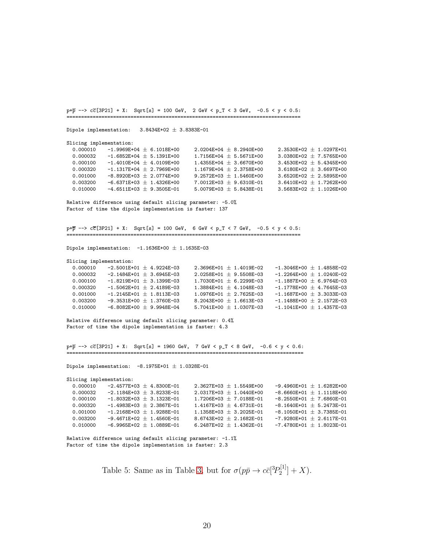$p+\overline{p}$  -->  $c\overline{c}$ [3P21] + X: Sqrt[s] = 100 GeV, 2 GeV <  $p_T < 3$  GeV, -0.5 < y < 0.5: ================================================================================ Dipole implementation:  $3.8434E+02 \pm 3.8383E-01$ Slicing implementation: 0.000010 -1.9969E+04  $\pm$  6.1018E+00 2.0204E+04  $\pm$  8.2940E+00 2.3530E+02  $\pm$  1.0297E+01<br>0.000032 -1.6852E+04 + 5.1391E+00 1.7156E+04 + 5.5671E+00 3.0380E+02 + 7.5765E+00  $-1.6852E+04 \pm 5.1391E+00$   $1.7156E+04 \pm 5.5671E+00$   $3.0380E+02 \pm 7.5765E+00$  $0.000100$   $-1.4010E+04 \pm 4.0109E+00$   $1.4355E+04 \pm 3.6670E+00$   $3.4530E+02 \pm 5.4345E+00$  $0.000320$   $-1.1317E+04 \pm 2.7969E+00$   $1.1679E+04 \pm 2.3758E+00$   $3.6180E+02 \pm 3.6697E+00$  $0.001000$   $-8.8920\text{E} + 03\,\pm\,2.0774\text{E} + 00$   $9.2572\text{E} + 03\,\pm\,1.5460\text{E} + 00$   $3.6520\text{E} + 02\,\pm\,2.5895\text{E} + 00$ 0.003200 -6.6371E+03  $\pm$  1.4326E+00  $^-$  7.0012E+03  $\pm$  9.6310E-01  $^-$  3.6410E+02  $\pm$  1.7262E+00 0.010000  $-4.6511E+03 \pm 9.3505E-01$   $5.0079E+03 \pm 5.8438E-01$   $3.5683E+02 \pm 1.1026E+00$ Relative difference using default slicing parameter: -5.0% Factor of time the dipole implementation is faster: 137  $p+\overline{p}$  -->  $c\overline{c}$ [3P21] + X: Sqrt[s] = 100 GeV, 6 GeV < p\_T < 7 GeV, -0.5 < y < 0.5: ================================================================================ Dipole implementation:  $-1.1636E+00 \pm 1.1635E-03$ Slicing implementation:  $0.000010$   $-2.5001$ E+01  $\pm$   $4.9224$ E-03  $2.3696$ E+01  $\pm$  1.4019E-02  $-1.3046$ E+00  $\pm$  1.4858E-02  $0.000032$   $-2.1484$ E+01  $\pm$  3.6945E-03  $2.0258$ E+01  $\pm$  9.5508E-03  $-1.2264$ E+00  $\pm$  1.0240E-02  $0.000100$   $-1.8219E+01 \pm 3.1399E-03$   $1.7030E+01 \pm 6.2299E-03$   $-1.1887E+00 \pm 6.9764E-03$ 0.000320 -1.5062E+01  $\pm$  2.4189E-03 1.3884E+01  $\pm$  4.1048E-03 -1.1778E+00  $\pm$  4.7645E-03 0.001000 -1.2145E+01  $\pm$  1.8113E-03 1.0976E+01  $\pm$  2.7625E-03 -1.1687E+00  $\pm$  3.3033E-03<br>0.003200 -9.3531E+00  $\pm$  1.3760E-03 8.2043E+00  $\pm$  1.6613E-03 -1.1488E+00  $\pm$  2.1572E-03  $-9.3531E+00 \pm 1.3760E-03$  8.2043E+00  $\pm$  1.6613E-03 -1.1488E+00  $\pm$  2.1572E-03<br> $-6.8082E+00 \pm 9.9948E-04$  5.7041E+00  $\pm$  1.0307E-03 -1.1041E+00  $\pm$  1.4357E-03 0.000200 -6.8082E+00  $\pm$  9.9948E-04 5.7041E+00  $\pm$  1.0307E-03 Relative difference using default slicing parameter: 0.4% Factor of time the dipole implementation is faster: 4.3  $p+\overline{p}$  -->  $c\overline{c}$ [3P21] + X: Sqrt[s] = 1960 GeV, 7 GeV < p\_T < 8 GeV, -0.6 < y < 0.6: ================================================================================= Dipole implementation:  $-8.1975E+01 \pm 1.0328E-01$ Slicing implementation: 0.000010 -2.4577E+03  $\pm$  4.8300E-01 2.3627E+03  $\pm$  1.5549E+00 -9.4960E+01  $\pm$  1.6282E+00<br>0.000032 -2.1184E+03  $\pm$  3.8233E-01 2.0317E+03  $\pm$  1.0440E+00 -8.6660E+01  $\pm$  1.1118E+00  $-2.1184E+03 \pm 3.8233E-01$  2.0317E+03  $\pm$  1.0440E+00 0.000100 -1.8032E+03  $\pm$  3.1323E-01  $\pm$  7.7206E+03  $\pm$  7.0188E-01 -8.2550E+01  $\pm$  7.6860E-01 0.000320 -1.4983E+03  $\pm$  2.3867E-01 1.4167E+03  $\pm$  4.6731E-01 -8.1640E+01  $\pm$  5.2473E-01 0.000320 -1.4983E+03  $\pm$  2.3867E-01 1.4167E+03  $\pm$  4.6731E-01 -8.1640E+01  $\pm$  5.2473E-01<br>0.001000 -1.2168E+03  $\pm$  1.9288E-01 1.1358E+03  $\pm$  3.2025E-01 -8.1050E+01  $\pm$  3.7385E-01  $0.1.1358E+03 \pm 3.2025E-01$   $-8.1050E+01 \pm 3.7385E-01$ 0.003200 -9.4671E+02  $\pm$  1.4560E-01 8.6743E+02  $\pm$  2.1682E-01 -7.9280E+01  $\pm$  2.6117E-01<br>0.010000 -6.9965E+02 + 1.0889E-01 6.2487E+02 + 1.4362E-01 -7.4780E+01 + 1.8023E-01  $-6.9965E+02 + 1.0889E-01$ Relative difference using default slicing parameter: -1.1% Factor of time the dipole implementation is faster: 2.3

> Table 5: Same as in Table [3,](#page-17-0) but for  $\sigma(p\bar{p} \to c\bar{c} [{}^{3}P_2^{[1]}]$  $2^{[1]}$  + X).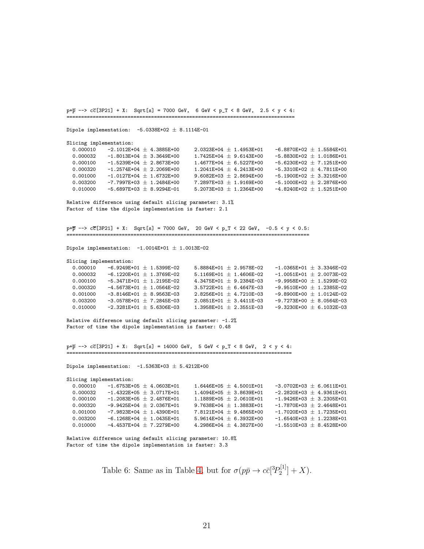$p+\overline{p}$  -->  $c\overline{c}$ [3P21] + X: Sqrt[s] = 7000 GeV, 6 GeV <  $p_T < 8$  GeV, 2.5 < y < 4: ============================================================================== Dipole implementation:  $-5.0338E+02 \pm 8.1114E-01$ Slicing implementation: 0.000010 -2.1012E+04  $\pm$  4.3885E+00 2.0323E+04  $\pm$  1.4953E+01 -6.8870E+02  $\pm$  1.5584E+01<br>0.000032 -1.8013E+04 + 3.3649E+00 1.7425E+04 + 9.6143E+00 -5.8830E+02 + 1.0186E+01  $-1.8013E+04 \pm 3.3649E+00$   $1.7425E+04 \pm 9.6143E+00$   $-5.8830E+02 \pm 1.0186E+01$ 0.000100 -1.5239E+04  $\pm$  2.8673E+00 1.4677E+04  $\pm$  6.5227E+00 -5.6230E+02  $\pm$  7.1251E+00  $0.000320$   $-1.2574E+04 \pm 2.2069E+00$   $1.2041E+04 \pm 4.2413E+00$   $-5.3310E+02 \pm 4.7811E+00$  $0.001000$   $-1.0127$ E+0 $4$   $\pm$   $1.6732$ E+0 $0$   $9.6082$ E+0 $3$   $\pm$   $2.8694$ E+0 $0$   $-5.1900$ E+0 $2$   $\pm$   $3.3216$ E+0 $0$ 0.003200 -7.7997E+03  $\pm$  1.2484E+00 -7.2897E+03  $\pm$  1.9169E+00 -5.1000E+02  $\pm$  2.2876E+00 0.010000  $-5.6897E+03 \pm 8.9294E-01$   $5.2073E+03 \pm 1.2364E+00$   $-4.8240E+02 \pm 1.5251E+00$ Relative difference using default slicing parameter: 3.1% Factor of time the dipole implementation is faster: 2.1 p+p --> cc[3P21] + X: Sqrt[s] = 7000 GeV, 20 GeV < p\_T < 22 GeV, -0.5 < y < 0.5: =================================================================================== Dipole implementation:  $-1.0014E+01 \pm 1.0013E-02$ Slicing implementation:  $0.000010$   $-6.9249$ E+01  $\pm$  1.5399E-02  $-$  5.8884E+01  $\pm$  2.9578E-02  $-$ 1.0365E+01  $\pm$  3.3346E-02  $0.000032$   $-6.1220$ E+01  $\pm$  1.3769E-02  $-$  5.1169E+01  $\pm$  1.4606E-02  $-$ 1.0051E+01  $\pm$  2.0073E-02  $0.000100$   $-5.3471E+01 \pm 1.2195E-02$   $4.3475E+01 \pm 9.2384E-03$   $-9.9958E+00 \pm 1.5299E-02$ 0.000320  $-4.5673E+01 \pm 1.0564E-02$  3.5722E+01  $\pm$  6.4647E-03  $-9.9510E+00 \pm 1.2385E-02$ 0.001000  $-3.8146E+01 \pm 8.9563E-03$   $2.8256E+01 \pm 4.7210E-03$   $-9.8900E+00 \pm 1.0124E-02$ <br>0.003200  $-3.0578E+01 \pm 7.2845E-03$   $2.0851E+01 \pm 3.4411E-03$   $-9.7273E+00 \pm 8.0564E-03$  $2.0851E+01 \pm 3.4411E-03$   $-9.7273E+00 \pm 8.0564E-03$ <br>1.3958E+01  $\pm$  2.3551E-03  $-9.3230E+00 \pm 6.1032E-03$ 0.010000  $-2.3281E+01 \pm 5.6306E-03$ Relative difference using default slicing parameter: -1.2% Factor of time the dipole implementation is faster: 0.48  $p+\overline{p}$  -->  $c\overline{c}$ [3P21] + X: Sqrt[s] = 14000 GeV, 5 GeV < p\_T < 8 GeV, 2 < y < 4: ============================================================================= Dipole implementation:  $-1.5363E+03 \pm 5.4212E+00$ Slicing implementation: 0.000010 -1.6753E+05  $\pm$  4.0603E+01 1.6446E+05  $\pm$  4.5001E+01 -3.0702E+03  $\pm$  6.0611E+01<br>0.000032 -1.4322E+05 + 3.0717E+01 1.4094E+05 + 3.8639E+01 -2.2820E+03 + 4.9361E+01  $-1.4322$ E+05  $\pm$  3.0717E+01  $\phantom{0}$  1.4094E+05  $\pm$  3.8639E+01  $\phantom{0}$  -2.2820E+03  $\pm$  4.9361E+01 0.000100 -1.2083E+05  $\pm$  2.4876E+01  $\pm$  1.1889E+05  $\pm$  2.0610E+01 -1.9426E+03  $\pm$  3.2305E+01 0.000320 -9.9425E+04  $\pm$  2.0367E+01 9.7638E+04  $\pm$  1.3883E+01 -1.7870E+03  $\pm$  2.4648E+01 0.000320 -9.9425E+04  $\pm$  2.0367E+01 9.7638E+04  $\pm$  1.3883E+01 -1.7870E+03  $\pm$  2.4648E+01<br>0.001000 -7.9823E+04  $\pm$  1.4390E+01 7.8121E+04  $\pm$  9.4865E+00 -1.7020E+03  $\pm$  1.7235E+01  $7.8121E+04 \pm 9.4865E+00$  -1.7020E+03  $\pm$  1.7235E+01 0.003200 -6.1268E+04  $\pm$  1.0435E+01 5.9614E+04  $\pm$  6.3932E+00 -1.6540E+03  $\pm$  1.2238E+01<br>0.010000 -4.4537E+04 + 7.2279E+00 4.2986E+04 + 4.3827E+00 -1.5510E+03 + 8.4528E+00  $-4.4537E+04 + 7.2279E+00$ Relative difference using default slicing parameter: 10.8% Factor of time the dipole implementation is faster: 3.3

> <span id="page-20-0"></span>Table 6: Same as in Table [4,](#page-18-0) but for  $\sigma(p\bar{p} \to c\bar{c} [{}^{3}P_2^{[1]}]$  $2^{[1]}$  + X).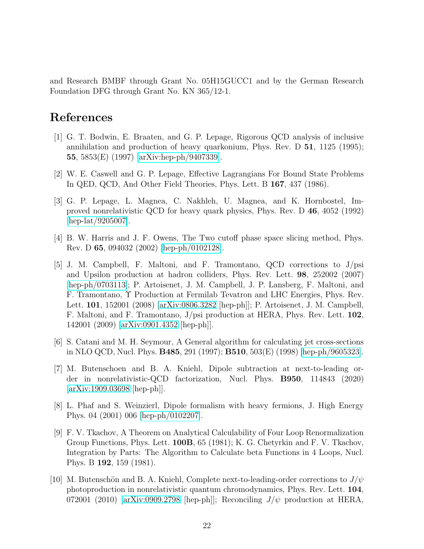and Research BMBF through Grant No. 05H15GUCC1 and by the German Research Foundation DFG through Grant No. KN 365/12-1.

### <span id="page-21-0"></span>References

- [1] G. T. Bodwin, E. Braaten, and G. P. Lepage, Rigorous QCD analysis of inclusive annihilation and production of heavy quarkonium, Phys. Rev. D 51, 1125 (1995); 55, 5853(E) (1997) [\[arXiv:hep-ph/9407339\]](http://arxiv.org/abs/hep-ph/9407339).
- <span id="page-21-2"></span><span id="page-21-1"></span>[2] W. E. Caswell and G. P. Lepage, Effective Lagrangians For Bound State Problems In QED, QCD, And Other Field Theories, Phys. Lett. B 167, 437 (1986).
- [3] G. P. Lepage, L. Magnea, C. Nakhleh, U. Magnea, and K. Hornbostel, Improved nonrelativistic QCD for heavy quark physics, Phys. Rev. D 46, 4052 (1992) [\[hep-lat/9205007\]](http://arxiv.org/abs/hep-lat/9205007).
- <span id="page-21-4"></span><span id="page-21-3"></span>[4] B. W. Harris and J. F. Owens, The Two cutoff phase space slicing method, Phys. Rev. D 65, 094032 (2002) [\[hep-ph/0102128\]](http://arxiv.org/abs/hep-ph/0102128).
- [5] J. M. Campbell, F. Maltoni, and F. Tramontano, QCD corrections to J/psi and Upsilon production at hadron colliders, Phys. Rev. Lett. 98, 252002 (2007) [\[hep-ph/0703113\]](http://arxiv.org/abs/hep-ph/0703113); P. Artoisenet, J. M. Campbell, J. P. Lansberg, F. Maltoni, and F. Tramontano, Υ Production at Fermilab Tevatron and LHC Energies, Phys. Rev. Lett. 101, 152001 (2008) [\[arXiv:0806.3282](http://arxiv.org/abs/0806.3282) [hep-ph]]; P. Artoisenet, J. M. Campbell, F. Maltoni, and F. Tramontano, J/psi production at HERA, Phys. Rev. Lett. 102, 142001 (2009) [\[arXiv:0901.4352](http://arxiv.org/abs/0901.4352) [hep-ph]].
- <span id="page-21-6"></span><span id="page-21-5"></span>[6] S. Catani and M. H. Seymour, A General algorithm for calculating jet cross-sections in NLO QCD, Nucl. Phys. B485, 291 (1997); B510, 503(E) (1998) [\[hep-ph/9605323\]](http://arxiv.org/abs/hep-ph/9605323).
- [7] M. Butenschoen and B. A. Kniehl, Dipole subtraction at next-to-leading order in nonrelativistic-QCD factorization, Nucl. Phys. B950, 114843 (2020) [\[arXiv:1909.03698](http://arxiv.org/abs/1909.03698) [hep-ph]].
- <span id="page-21-7"></span>[8] L. Phaf and S. Weinzierl, Dipole formalism with heavy fermions, J. High Energy Phys. 04 (2001) 006 [\[hep-ph/0102207\]](http://arxiv.org/abs/hep-ph/0102207).
- <span id="page-21-8"></span>[9] F. V. Tkachov, A Theorem on Analytical Calculability of Four Loop Renormalization Group Functions, Phys. Lett. 100B, 65 (1981); K. G. Chetyrkin and F. V. Tkachov, Integration by Parts: The Algorithm to Calculate beta Functions in 4 Loops, Nucl. Phys. B 192, 159 (1981).
- <span id="page-21-9"></span>[10] M. Butenschön and B. A. Kniehl, Complete next-to-leading-order corrections to  $J/\psi$ photoproduction in nonrelativistic quantum chromodynamics, Phys. Rev. Lett. 104, 072001 (2010) [\[arXiv:0909.2798](http://arxiv.org/abs/0909.2798) [hep-ph]]; Reconciling  $J/\psi$  production at HERA,